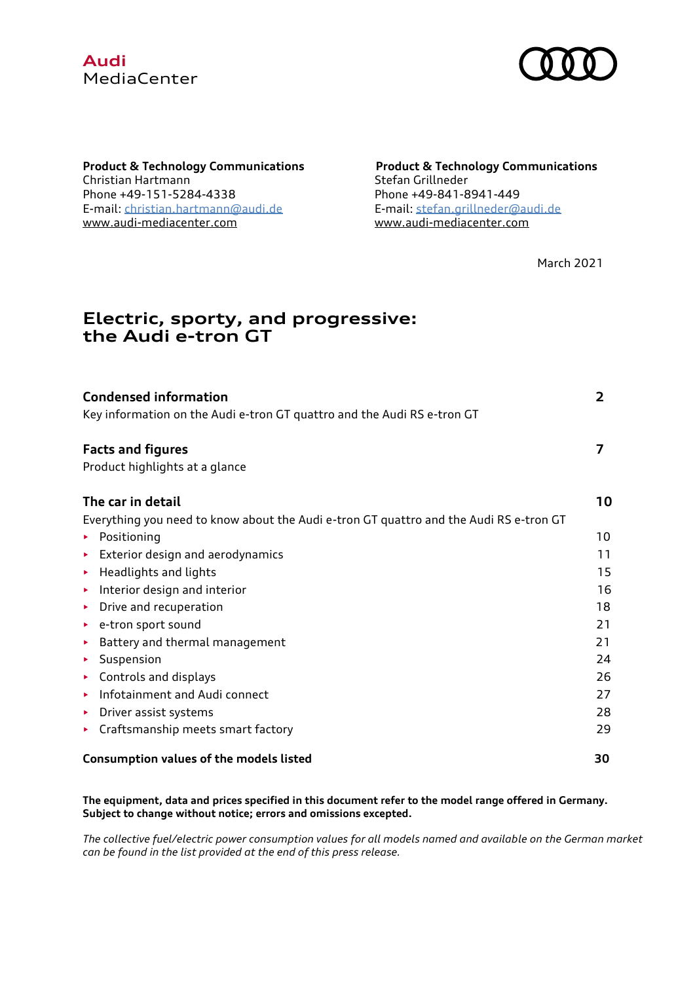



**Product & Technology Communications Product & Technology Communications** Christian Hartmann Stefan Grillneder Phone [+49-151-5284-4338](file:///C:/Users/DAGV9AA/Desktop/Phone%20+49%20151%2052844338) Phone +49-841-8941-449 E-mail: [christian.hartmann@audi.de](mailto:christian.hartmann@audi.de) E-mail[: stefan.grillneder@audi.de](mailto:stefan.grillneder@audi.de) [www.audi-mediacenter.com](https://www.audi-mediacenter.com/) [www.audi-mediacenter.com](https://www.audi-mediacenter.com/)

March 2021

# **Electric, sporty, and progressive: the Audi e-tron GT**

| <b>Condensed information</b>                                                           | 2  |
|----------------------------------------------------------------------------------------|----|
| Key information on the Audi e-tron GT quattro and the Audi RS e-tron GT                |    |
| <b>Facts and figures</b>                                                               | 7  |
| Product highlights at a glance                                                         |    |
| The car in detail                                                                      | 10 |
| Everything you need to know about the Audi e-tron GT quattro and the Audi RS e-tron GT |    |
| Positioning<br>Þ.                                                                      | 10 |
| Exterior design and aerodynamics<br>▶                                                  | 11 |
| Headlights and lights<br>▶                                                             | 15 |
| Interior design and interior<br>٠                                                      | 16 |
| Drive and recuperation<br>▶                                                            | 18 |
| e-tron sport sound<br>▶                                                                | 21 |
| Battery and thermal management<br>▶                                                    | 21 |
| Suspension<br>▶                                                                        | 24 |
| Controls and displays<br>▶                                                             | 26 |
| Infotainment and Audi connect<br>▶                                                     | 27 |
| Driver assist systems<br>▶                                                             | 28 |
| Craftsmanship meets smart factory<br>▶                                                 | 29 |
| Consumption values of the models listed                                                | 30 |

**The equipment, data and prices specified in this document refer to the model range offered in Germany. Subject to change without notice; errors and omissions excepted.**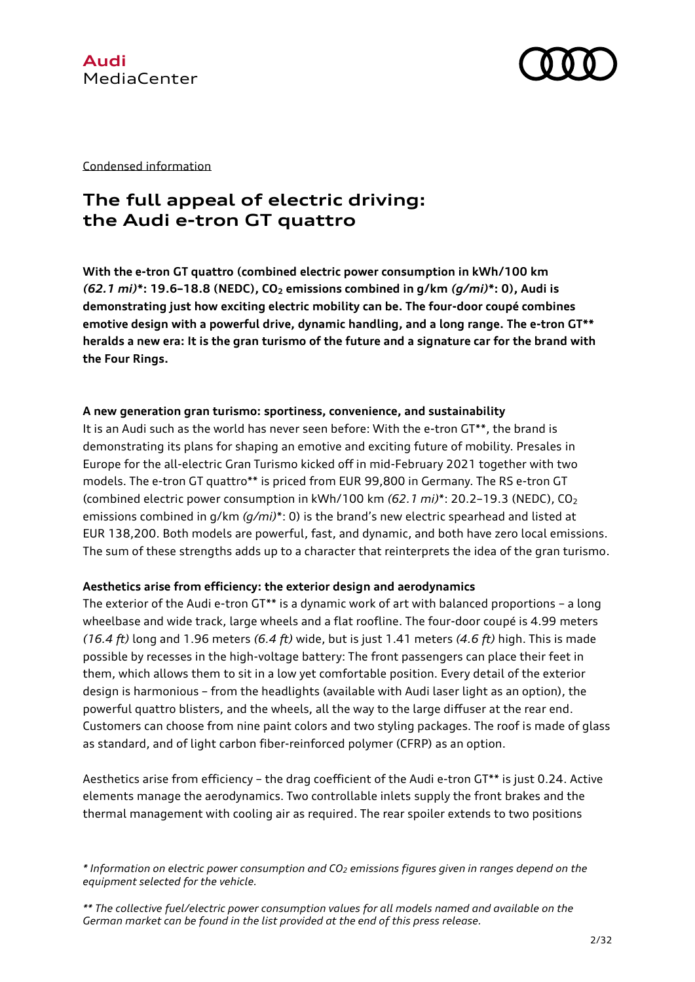



Condensed information

# **The full appeal of electric driving: the Audi e-tron GT quattro**

**With the e-tron GT quattro (combined electric power consumption in kWh/100 km** *(62.1 mi)***\*: 19.6–18.8 (NEDC), CO<sup>2</sup> emissions combined in g/km** *(g/mi)***\*: 0), Audi is demonstrating just how exciting electric mobility can be. The four-door coupé combines emotive design with a powerful drive, dynamic handling, and a long range. The e-tron GT\*\* heralds a new era: It is the gran turismo of the future and a signature car for the brand with the Four Rings.**

#### **A new generation gran turismo: sportiness, convenience, and sustainability**

It is an Audi such as the world has never seen before: With the e-tron GT\*\*, the brand is demonstrating its plans for shaping an emotive and exciting future of mobility. Presales in Europe for the all-electric Gran Turismo kicked off in mid-February 2021 together with two models. The e-tron GT quattro\*\* is priced from EUR 99,800 in Germany. The RS e-tron GT (combined electric power consumption in kWh/100 km *(62.1 mi)*\*: 20.2–19.3 (NEDC), CO<sup>2</sup> emissions combined in g/km *(g/mi)*\*: 0) is the brand's new electric spearhead and listed at EUR 138,200. Both models are powerful, fast, and dynamic, and both have zero local emissions. The sum of these strengths adds up to a character that reinterprets the idea of the gran turismo.

### **Aesthetics arise from efficiency: the exterior design and aerodynamics**

The exterior of the Audi e-tron GT\*\* is a dynamic work of art with balanced proportions - a long wheelbase and wide track, large wheels and a flat roofline. The four-door coupé is 4.99 meters *(16.4 ft)* long and 1.96 meters *(6.4 ft)* wide, but is just 1.41 meters *(4.6 ft)* high. This is made possible by recesses in the high-voltage battery: The front passengers can place their feet in them, which allows them to sit in a low yet comfortable position. Every detail of the exterior design is harmonious – from the headlights (available with Audi laser light as an option), the powerful quattro blisters, and the wheels, all the way to the large diffuser at the rear end. Customers can choose from nine paint colors and two styling packages. The roof is made of glass as standard, and of light carbon fiber-reinforced polymer (CFRP) as an option.

Aesthetics arise from efficiency – the drag coefficient of the Audi e-tron GT\*\* is just 0.24. Active elements manage the aerodynamics. Two controllable inlets supply the front brakes and the thermal management with cooling air as required. The rear spoiler extends to two positions

*<sup>\*</sup> Information on electric power consumption and CO<sup>2</sup> emissions figures given in ranges depend on the equipment selected for the vehicle.*

*<sup>\*\*</sup> The collective fuel/electric power consumption values for all models named and available on the German market can be found in the list provided at the end of this press release.*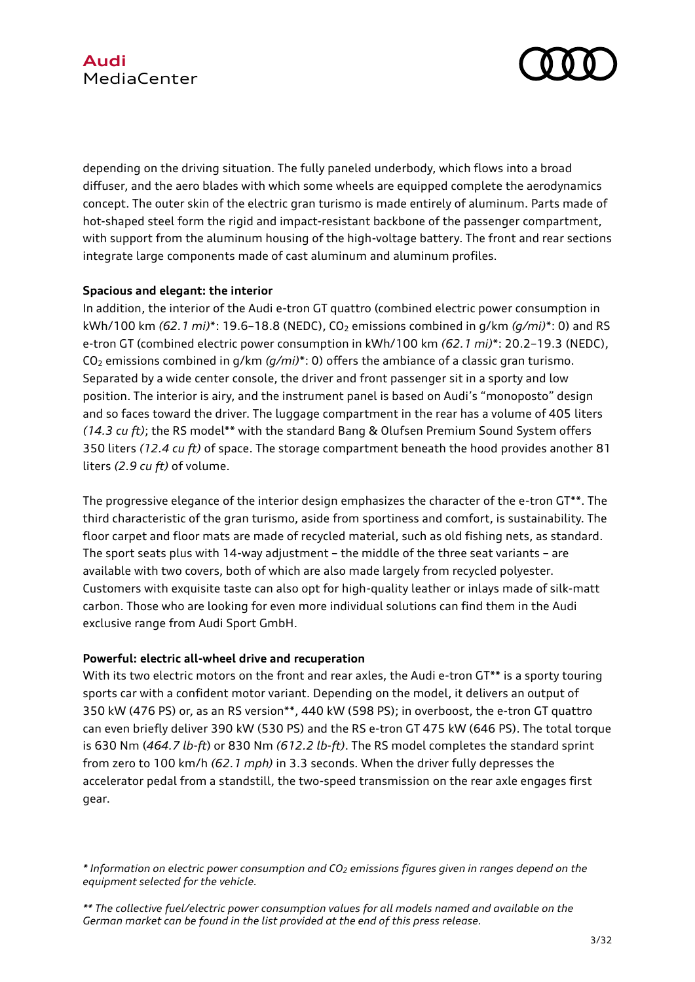

depending on the driving situation. The fully paneled underbody, which flows into a broad diffuser, and the aero blades with which some wheels are equipped complete the aerodynamics concept. The outer skin of the electric gran turismo is made entirely of aluminum. Parts made of hot-shaped steel form the rigid and impact-resistant backbone of the passenger compartment, with support from the aluminum housing of the high-voltage battery. The front and rear sections integrate large components made of cast aluminum and aluminum profiles.

### **Spacious and elegant: the interior**

In addition, the interior of the Audi e-tron GT quattro (combined electric power consumption in kWh/100 km *(62.1 mi)*\*: 19.6–18.8 (NEDC), CO<sup>2</sup> emissions combined in g/km *(g/mi)*\*: 0) and RS e-tron GT (combined electric power consumption in kWh/100 km *(62.1 mi)*\*: 20.2–19.3 (NEDC), CO<sup>2</sup> emissions combined in g/km *(g/mi)*\*: 0) offers the ambiance of a classic gran turismo. Separated by a wide center console, the driver and front passenger sit in a sporty and low position. The interior is airy, and the instrument panel is based on Audi's "monoposto" design and so faces toward the driver. The luggage compartment in the rear has a volume of 405 liters *(14.3 cu ft)*; the RS model\*\* with the standard Bang & Olufsen Premium Sound System offers 350 liters *(12.4 cu ft)* of space. The storage compartment beneath the hood provides another 81 liters *(2.9 cu ft)* of volume.

The progressive elegance of the interior design emphasizes the character of the e-tron GT\*\*. The third characteristic of the gran turismo, aside from sportiness and comfort, is sustainability. The floor carpet and floor mats are made of recycled material, such as old fishing nets, as standard. The sport seats plus with 14-way adjustment – the middle of the three seat variants – are available with two covers, both of which are also made largely from recycled polyester. Customers with exquisite taste can also opt for high-quality leather or inlays made of silk-matt carbon. Those who are looking for even more individual solutions can find them in the Audi exclusive range from Audi Sport GmbH.

### **Powerful: electric all-wheel drive and recuperation**

With its two electric motors on the front and rear axles, the Audi e-tron GT\*\* is a sporty touring sports car with a confident motor variant. Depending on the model, it delivers an output of 350 kW (476 PS) or, as an RS version\*\*, 440 kW (598 PS); in overboost, the e-tron GT quattro can even briefly deliver 390 kW (530 PS) and the RS e-tron GT 475 kW (646 PS). The total torque is 630 Nm (*464.7 lb-ft*) or 830 Nm *(612.2 lb-ft)*. The RS model completes the standard sprint from zero to 100 km/h *(62.1 mph)* in 3.3 seconds. When the driver fully depresses the accelerator pedal from a standstill, the two-speed transmission on the rear axle engages first gear.

*<sup>\*</sup> Information on electric power consumption and CO<sup>2</sup> emissions figures given in ranges depend on the equipment selected for the vehicle.*

*<sup>\*\*</sup> The collective fuel/electric power consumption values for all models named and available on the German market can be found in the list provided at the end of this press release.*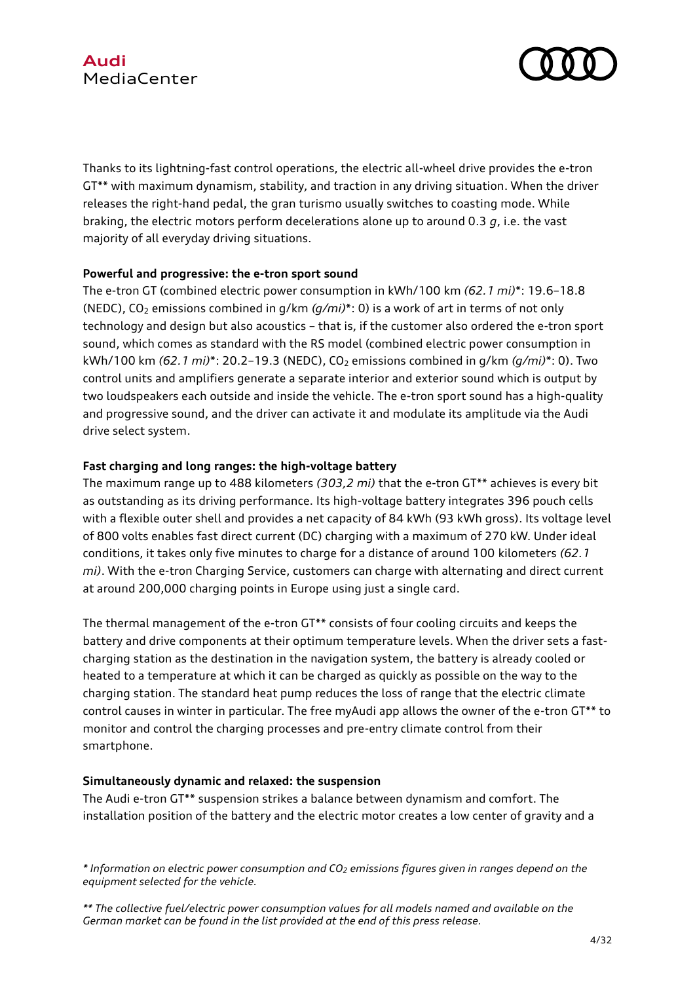

Thanks to its lightning-fast control operations, the electric all-wheel drive provides the e-tron GT\*\* with maximum dynamism, stability, and traction in any driving situation. When the driver releases the right-hand pedal, the gran turismo usually switches to coasting mode. While braking, the electric motors perform decelerations alone up to around 0.3 *g*, i.e. the vast majority of all everyday driving situations.

### **Powerful and progressive: the e-tron sport sound**

The e-tron GT (combined electric power consumption in kWh/100 km *(62.1 mi)*\*: 19.6–18.8 (NEDC), CO<sup>2</sup> emissions combined in g/km *(g/mi)*\*: 0) is a work of art in terms of not only technology and design but also acoustics – that is, if the customer also ordered the e-tron sport sound, which comes as standard with the RS model (combined electric power consumption in kWh/100 km *(62.1 mi)*\*: 20.2–19.3 (NEDC), CO<sup>2</sup> emissions combined in g/km *(g/mi)*\*: 0). Two control units and amplifiers generate a separate interior and exterior sound which is output by two loudspeakers each outside and inside the vehicle. The e-tron sport sound has a high-quality and progressive sound, and the driver can activate it and modulate its amplitude via the Audi drive select system.

### **Fast charging and long ranges: the high-voltage battery**

The maximum range up to 488 kilometers *(303,2 mi)* that the e-tron GT\*\* achieves is every bit as outstanding as its driving performance. Its high-voltage battery integrates 396 pouch cells with a flexible outer shell and provides a net capacity of 84 kWh (93 kWh gross). Its voltage level of 800 volts enables fast direct current (DC) charging with a maximum of 270 kW. Under ideal conditions, it takes only five minutes to charge for a distance of around 100 kilometers *(62.1 mi)*. With the e-tron Charging Service, customers can charge with alternating and direct current at around 200,000 charging points in Europe using just a single card.

The thermal management of the e-tron GT\*\* consists of four cooling circuits and keeps the battery and drive components at their optimum temperature levels. When the driver sets a fastcharging station as the destination in the navigation system, the battery is already cooled or heated to a temperature at which it can be charged as quickly as possible on the way to the charging station. The standard heat pump reduces the loss of range that the electric climate control causes in winter in particular. The free myAudi app allows the owner of the e-tron GT\*\* to monitor and control the charging processes and pre-entry climate control from their smartphone.

### **Simultaneously dynamic and relaxed: the suspension**

The Audi e-tron GT\*\* suspension strikes a balance between dynamism and comfort. The installation position of the battery and the electric motor creates a low center of gravity and a

*<sup>\*</sup> Information on electric power consumption and CO<sup>2</sup> emissions figures given in ranges depend on the equipment selected for the vehicle.*

*<sup>\*\*</sup> The collective fuel/electric power consumption values for all models named and available on the German market can be found in the list provided at the end of this press release.*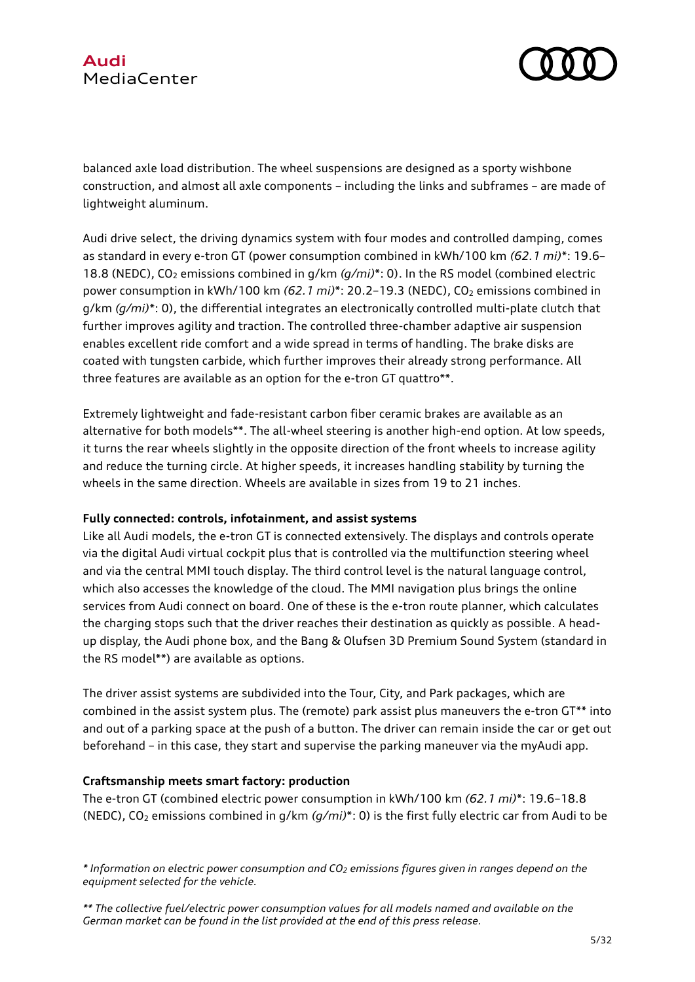

balanced axle load distribution. The wheel suspensions are designed as a sporty wishbone construction, and almost all axle components – including the links and subframes – are made of lightweight aluminum.

Audi drive select, the driving dynamics system with four modes and controlled damping, comes as standard in every e-tron GT (power consumption combined in kWh/100 km *(62.1 mi)*\*: 19.6– 18.8 (NEDC), CO<sub>2</sub> emissions combined in g/km (g/mi)\*: 0). In the RS model (combined electric power consumption in kWh/100 km (62.1 mi)<sup>\*</sup>: 20.2-19.3 (NEDC), CO<sub>2</sub> emissions combined in g/km *(g/mi)*\*: 0), the differential integrates an electronically controlled multi-plate clutch that further improves agility and traction. The controlled three-chamber adaptive air suspension enables excellent ride comfort and a wide spread in terms of handling. The brake disks are coated with tungsten carbide, which further improves their already strong performance. All three features are available as an option for the e-tron GT quattro\*\*.

Extremely lightweight and fade-resistant carbon fiber ceramic brakes are available as an alternative for both models\*\*. The all-wheel steering is another high-end option. At low speeds, it turns the rear wheels slightly in the opposite direction of the front wheels to increase agility and reduce the turning circle. At higher speeds, it increases handling stability by turning the wheels in the same direction. Wheels are available in sizes from 19 to 21 inches.

### **Fully connected: controls, infotainment, and assist systems**

Like all Audi models, the e-tron GT is connected extensively. The displays and controls operate via the digital Audi virtual cockpit plus that is controlled via the multifunction steering wheel and via the central MMI touch display. The third control level is the natural language control, which also accesses the knowledge of the cloud. The MMI navigation plus brings the online services from Audi connect on board. One of these is the e-tron route planner, which calculates the charging stops such that the driver reaches their destination as quickly as possible. A headup display, the Audi phone box, and the Bang & Olufsen 3D Premium Sound System (standard in the RS model\*\*) are available as options.

The driver assist systems are subdivided into the Tour, City, and Park packages, which are combined in the assist system plus. The (remote) park assist plus maneuvers the e-tron GT\*\* into and out of a parking space at the push of a button. The driver can remain inside the car or get out beforehand – in this case, they start and supervise the parking maneuver via the myAudi app.

### **Craftsmanship meets smart factory: production**

The e-tron GT (combined electric power consumption in kWh/100 km *(62.1 mi)*\*: 19.6–18.8 (NEDC), CO<sup>2</sup> emissions combined in g/km *(g/mi)*\*: 0) is the first fully electric car from Audi to be

*<sup>\*</sup> Information on electric power consumption and CO<sup>2</sup> emissions figures given in ranges depend on the equipment selected for the vehicle.*

*<sup>\*\*</sup> The collective fuel/electric power consumption values for all models named and available on the German market can be found in the list provided at the end of this press release.*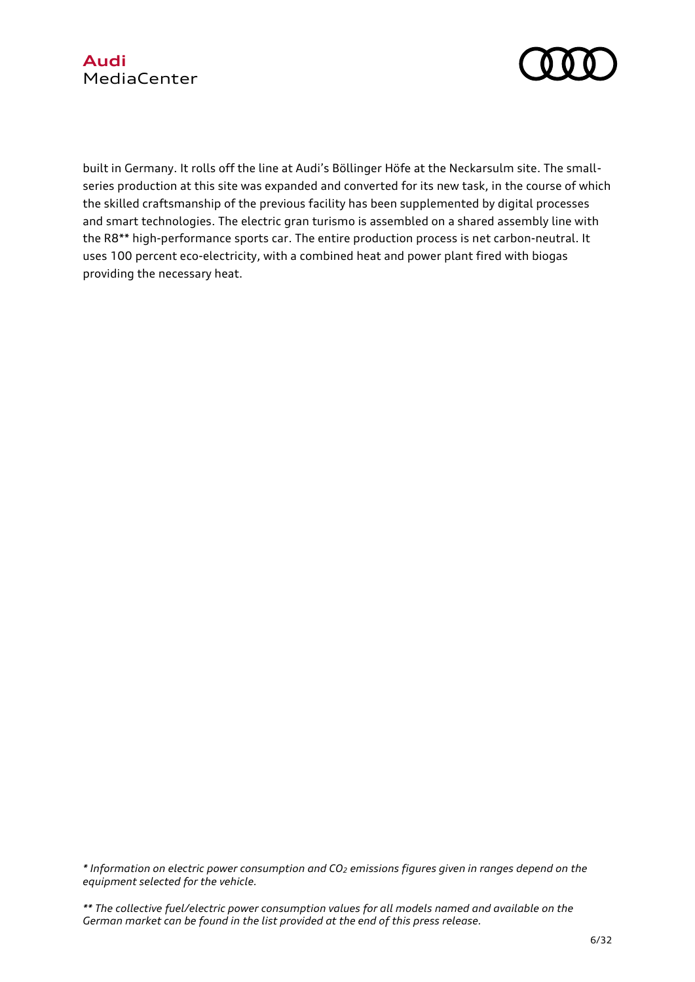



built in Germany. It rolls off the line at Audi's Böllinger Höfe at the Neckarsulm site. The smallseries production at this site was expanded and converted for its new task, in the course of which the skilled craftsmanship of the previous facility has been supplemented by digital processes and smart technologies. The electric gran turismo is assembled on a shared assembly line with the R8\*\* high-performance sports car. The entire production process is net carbon-neutral. It uses 100 percent eco-electricity, with a combined heat and power plant fired with biogas providing the necessary heat.

*\* Information on electric power consumption and CO<sup>2</sup> emissions figures given in ranges depend on the equipment selected for the vehicle.*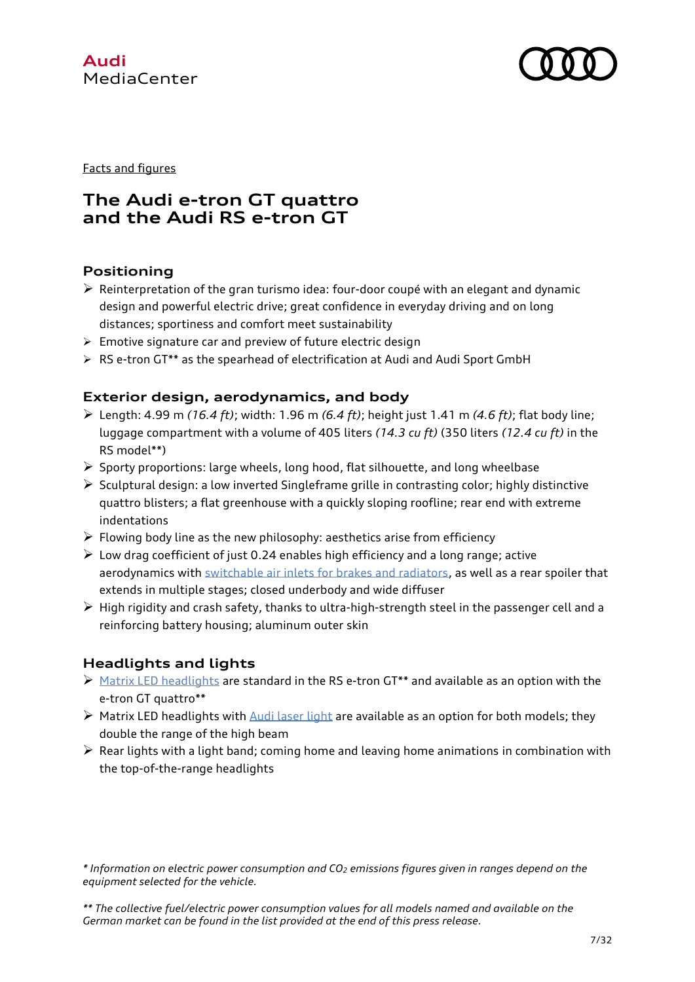



Facts and figures

# **The Audi e-tron GT quattro and the Audi RS e-tron GT**

## **Positioning**

- $\triangleright$  Reinterpretation of the gran turismo idea: four-door coupé with an elegant and dynamic design and powerful electric drive; great confidence in everyday driving and on long distances; sportiness and comfort meet sustainability
- $\triangleright$  Emotive signature car and preview of future electric design
- $\triangleright$  RS e-tron GT\*\* as the spearhead of electrification at Audi and Audi Sport GmbH

## **Exterior design, aerodynamics, and body**

- Length: 4.99 m *(16.4 ft)*; width: 1.96 m *(6.4 ft)*; height just 1.41 m *(4.6 ft)*; flat body line; luggage compartment with a volume of 405 liters *(14.3 cu ft)* (350 liters *(12.4 cu ft)* in the RS model\*\*)
- $\triangleright$  Sporty proportions: large wheels, long hood, flat silhouette, and long wheelbase
- $\triangleright$  Sculptural design: a low inverted Singleframe grille in contrasting color; highly distinctive quattro blisters; a flat greenhouse with a quickly sloping roofline; rear end with extreme indentations
- $\triangleright$  Flowing body line as the new philosophy: aesthetics arise from efficiency
- $\triangleright$  Low drag coefficient of just 0.24 enables high efficiency and a long range; active aerodynamics with [switchable air inlets for brakes and radiators,](https://www.audi-mediacenter.com/en/technology-lexicon-7180/interiors-9339#steuerbarer-kuehllufteinlass) as well as a rear spoiler that extends in multiple stages; closed underbody and wide diffuser
- $\triangleright$  High rigidity and crash safety, thanks to ultra-high-strength steel in the passenger cell and a reinforcing battery housing; aluminum outer skin

# **Headlights and lights**

- [Matrix LED headlights](https://www.audi-mediacenter.com/en/technology-lexicon-7180/lighting-7187) are standard in the RS e-tron GT\*\* and available as an option with the e-tron GT quattro\*\*
- $\triangleright$  Matrix LED headlights with [Audi laser light](https://www.audi-mediacenter.com/en/technology-lexicon-7180/lighting-7187#audi-laserlicht) are available as an option for both models; they double the range of the high beam
- $\triangleright$  Rear lights with a light band; coming home and leaving home animations in combination with the top-of-the-range headlights

*<sup>\*</sup> Information on electric power consumption and CO<sup>2</sup> emissions figures given in ranges depend on the equipment selected for the vehicle.*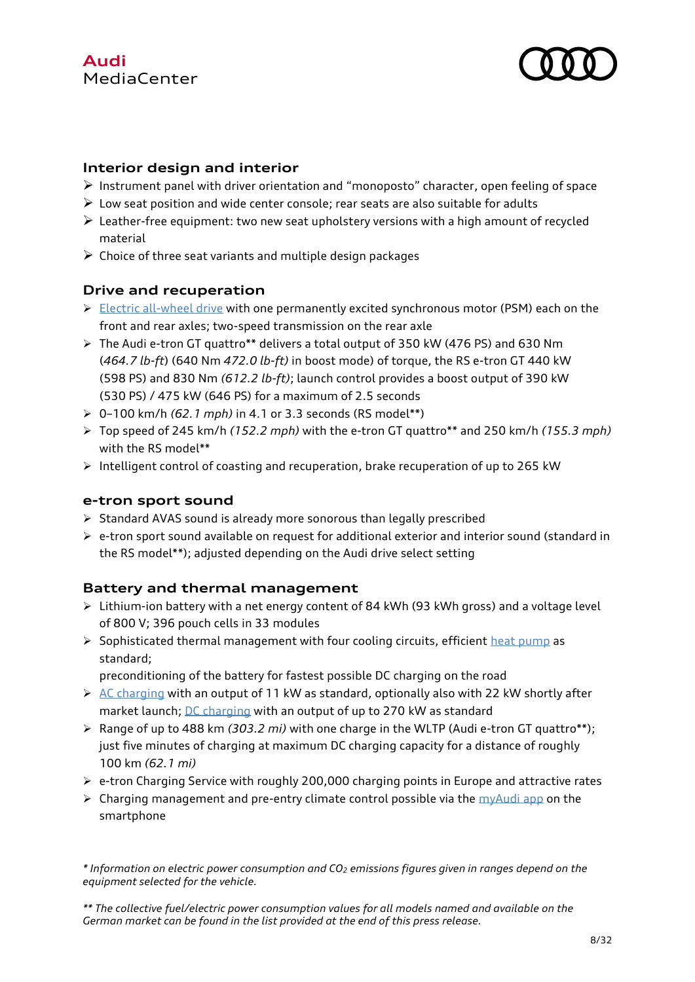

## **Interior design and interior**

- $\triangleright$  Instrument panel with driver orientation and "monoposto" character, open feeling of space
- $\triangleright$  Low seat position and wide center console; rear seats are also suitable for adults
- $\triangleright$  Leather-free equipment: two new seat upholstery versions with a high amount of recycled material
- $\triangleright$  Choice of three seat variants and multiple design packages

## **Drive and recuperation**

- $\triangleright$  [Electric all-wheel drive](https://www.audi-mediacenter.com/en/technology-lexicon-7180/drive-system-7227#elektrischer-allradantrieb) with one permanently excited synchronous motor (PSM) each on the front and rear axles; two-speed transmission on the rear axle
- $\triangleright$  The Audi e-tron GT quattro\*\* delivers a total output of 350 kW (476 PS) and 630 Nm (*464.7 lb-ft*) (640 Nm *472.0 lb-ft)* in boost mode) of torque, the RS e-tron GT 440 kW (598 PS) and 830 Nm *(612.2 lb-ft)*; launch control provides a boost output of 390 kW (530 PS) / 475 kW (646 PS) for a maximum of 2.5 seconds
- 0–100 km/h *(62.1 mph)* in 4.1 or 3.3 seconds (RS model\*\*)
- Top speed of 245 km/h *(152.2 mph)* with the e-tron GT quattro\*\* and 250 km/h *(155.3 mph)* with the RS model\*\*
- $\triangleright$  Intelligent control of coasting and recuperation, brake recuperation of up to 265 kW

## **e-tron sport sound**

- $\triangleright$  Standard AVAS sound is already more sonorous than legally prescribed
- $\triangleright$  e-tron sport sound available on request for additional exterior and interior sound (standard in the RS model\*\*); adjusted depending on the Audi drive select setting

# **Battery and thermal management**

- Lithium-ion battery with a net energy content of 84 kWh (93 kWh gross) and a voltage level of 800 V; 396 pouch cells in 33 modules
- $\triangleright$  Sophisticated thermal management with four cooling circuits, efficient [heat pump](https://www.audi-mediacenter.com/en/technology-lexicon-7180/interiors-9339#waermepumpe) as standard;
	- preconditioning of the battery for fastest possible DC charging on the road
- $\triangleright$  [AC charging](https://www.audi-mediacenter.com/en/technology-lexicon-7180/charging-technologies-10999#ac-laden) with an output of 11 kW as standard, optionally also with 22 kW shortly after market launch; [DC charging](https://www.audi-mediacenter.com/en/technology-lexicon-7180/charging-technologies-10999#dc-laden) with an output of up to 270 kW as standard
- Range of up to 488 km *(303.2 mi)* with one charge in the WLTP (Audi e-tron GT quattro\*\*); just five minutes of charging at maximum DC charging capacity for a distance of roughly 100 km *(62.1 mi)*
- $\triangleright$  e-tron Charging Service with roughly 200,000 charging points in Europe and attractive rates
- $\triangleright$  Charging management and pre-entry climate control possible via the [myAudi app](https://www.audi-mediacenter.com/en/technology-lexicon-7180/infotainment-7183#myaudi-app) on the smartphone

*\* Information on electric power consumption and CO<sup>2</sup> emissions figures given in ranges depend on the equipment selected for the vehicle.*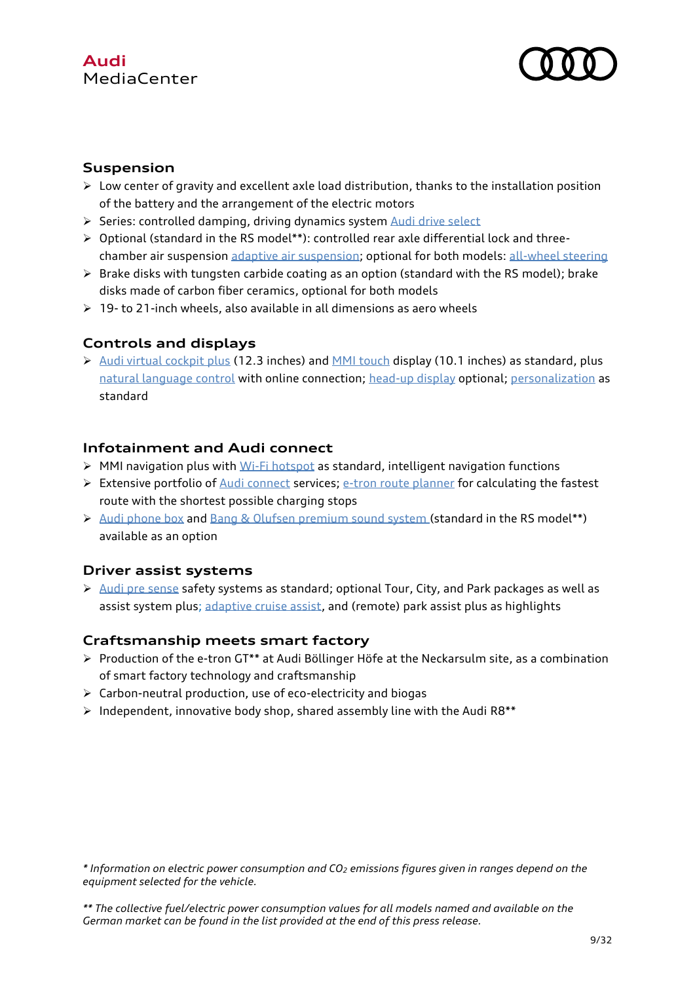# **Audi** MediaCenter



## **Suspension**

- $\triangleright$  Low center of gravity and excellent axle load distribution, thanks to the installation position of the battery and the arrangement of the electric motors
- Series: controlled damping, driving dynamics syste[m Audi drive select](https://www.audi-mediacenter.com/de/technik-lexikon-7180/fahrwerk-7185#audi-drive-select)
- $\triangleright$  Optional (standard in the RS model\*\*): controlled rear axle differential lock and threechamber air suspension [adaptive air suspension;](https://www.audi-mediacenter.com/en/technology-lexicon-7180/chassis-7185#luftfederung-adaptive-air-suspension) optional for both models[: all-wheel steering](https://www.audi-mediacenter.com/en/technology-lexicon-7180/chassis-7185#allradlenkung-dynamik-allradlenkung)
- $\triangleright$  Brake disks with tungsten carbide coating as an option (standard with the RS model); brake disks made of carbon fiber ceramics, optional for both models
- $\triangleright$  19- to 21-inch wheels, also available in all dimensions as aero wheels

## **Controls and displays**

 $\triangleright$  [Audi virtual cockpit plus](https://www.audi-mediacenter.com/en/technology-lexicon-7180/user-operation-and-displays-7182#audi-virtual-cockpit) (12.3 inches) and [MMI touch](https://www.audi-mediacenter.com/en/technology-lexicon-7180/user-operation-and-displays-7182#mmi-touch) display (10.1 inches) as standard, plus [natural language control](https://www.audi-mediacenter.com/en/technology-lexicon-7180/user-operation-and-displays-7182#natuerlich-sprachliche-steuerung) with online connection; [head-up display](https://www.audi-mediacenter.com/en/technology-lexicon-7180/user-operation-and-displays-7182#head-up-display) optional[; personalization](https://www.audi-mediacenter.com/en/technology-lexicon-7180/infotainment-7183#personalisierung) as standard

## **Infotainment and Audi connect**

- $\triangleright$  MMI navigation plus with Wi-Fi [hotspot](https://www.audi-mediacenter.com/en/technology-lexicon-7180/infotainment-7183#wlan-hotspot) as standard, intelligent navigation functions
- $\triangleright$  Extensive portfolio of [Audi connect](https://www.audi-mediacenter.com/en/technology-lexicon-7180/infotainment-7183#audi-connect) services; [e-tron route planner](https://www.audi-mediacenter.com/en/technology-lexicon-7180/infotainment-7183#e-tron-routenplaner) for calculating the fastest route with the shortest possible charging stops
- [Audi phone box](https://www.audi-mediacenter.com/en/technology-lexicon-7180/infotainment-7183#audi-phone-box) and [Bang & Olufsen premium sound system](https://www.audi-mediacenter.com/en/technology-lexicon-7180/infotainment-7183#bang-und-olufsen-sound-system-mit-3d-klang) (standard in the RS model\*\*) available as an option

## **Driver assist systems**

 $\triangleright$  [Audi pre sense](https://www.audi-mediacenter.com/en/technology-lexicon-7180/driver-assistance-systems-7184#audi-pre-sense-front-audi-pre-sense-city) safety systems as standard; optional Tour, City, and Park packages as well as assist system plus; [adaptive cruise assist,](https://www.audi-mediacenter.com/en/technology-lexicon-7180/driver-assistance-systems-7184#adaptiver-fahrassistent) and (remote) park assist plus as highlights

## **Craftsmanship meets smart factory**

- $\triangleright$  Production of the e-tron GT\*\* at Audi Böllinger Höfe at the Neckarsulm site, as a combination of smart factory technology and craftsmanship
- $\triangleright$  Carbon-neutral production, use of eco-electricity and biogas
- $\triangleright$  Independent, innovative body shop, shared assembly line with the Audi R8\*\*

*\* Information on electric power consumption and CO<sup>2</sup> emissions figures given in ranges depend on the equipment selected for the vehicle.*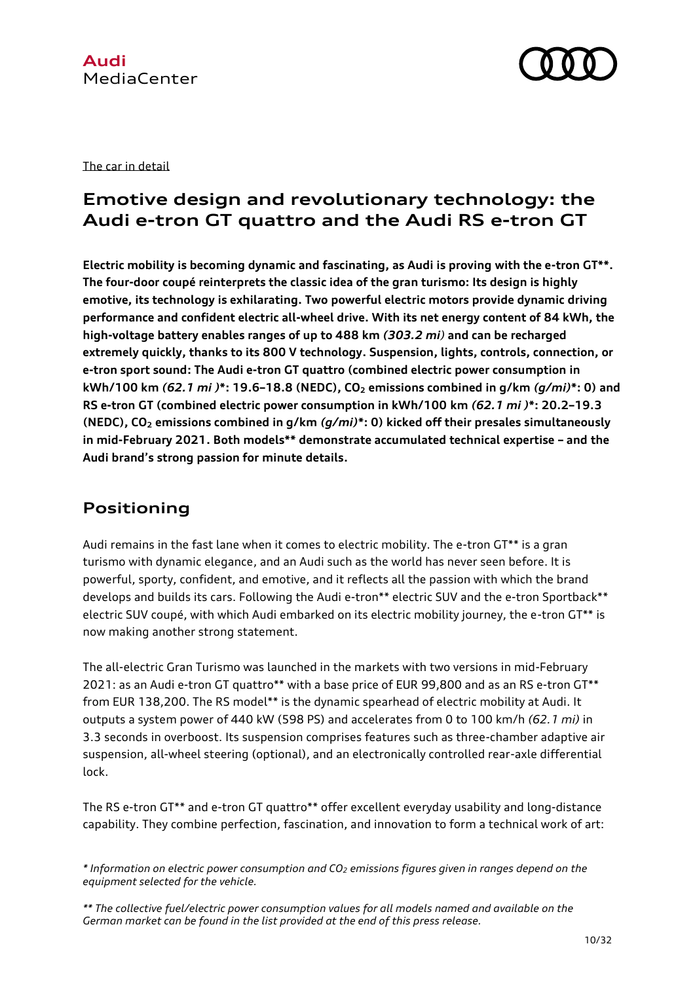

### The car in detail

# **Emotive design and revolutionary technology: the Audi e-tron GT quattro and the Audi RS e-tron GT**

**Electric mobility is becoming dynamic and fascinating, as Audi is proving with the e-tron GT\*\*. The four-door coupé reinterprets the classic idea of the gran turismo: Its design is highly emotive, its technology is exhilarating. Two powerful electric motors provide dynamic driving performance and confident electric all-wheel drive. With its net energy content of 84 kWh, the high-voltage battery enables ranges of up to 488 km** *(303.2 mi)* **and can be recharged extremely quickly, thanks to its 800 V technology. Suspension, lights, controls, connection, or e-tron sport sound: The Audi e-tron GT quattro (combined electric power consumption in kWh/100 km** *(62.1 mi )***\*: 19.6–18.8 (NEDC), CO<sup>2</sup> emissions combined in g/km** *(g/mi)***\*: 0) and RS e-tron GT (combined electric power consumption in kWh/100 km** *(62.1 mi )***\*: 20.2–19.3 (NEDC), CO<sup>2</sup> emissions combined in g/km** *(g/mi)***\*: 0) kicked off their presales simultaneously in mid-February 2021. Both models\*\* demonstrate accumulated technical expertise – and the Audi brand's strong passion for minute details.** 

# **Positioning**

Audi remains in the fast lane when it comes to electric mobility. The e-tron GT\*\* is a gran turismo with dynamic elegance, and an Audi such as the world has never seen before. It is powerful, sporty, confident, and emotive, and it reflects all the passion with which the brand develops and builds its cars. Following the Audi e-tron\*\* electric SUV and the e-tron Sportback\*\* electric SUV coupé, with which Audi embarked on its electric mobility journey, the e-tron GT\*\* is now making another strong statement.

The all-electric Gran Turismo was launched in the markets with two versions in mid-February 2021: as an Audi e-tron GT quattro\*\* with a base price of EUR 99,800 and as an RS e-tron GT\*\* from EUR 138,200. The RS model\*\* is the dynamic spearhead of electric mobility at Audi. It outputs a system power of 440 kW (598 PS) and accelerates from 0 to 100 km/h *(62.1 mi)* in 3.3 seconds in overboost. Its suspension comprises features such as three-chamber adaptive air suspension, all-wheel steering (optional), and an electronically controlled rear-axle differential lock.

The RS e-tron GT\*\* and e-tron GT quattro\*\* offer excellent everyday usability and long-distance capability. They combine perfection, fascination, and innovation to form a technical work of art:

*<sup>\*</sup> Information on electric power consumption and CO<sup>2</sup> emissions figures given in ranges depend on the equipment selected for the vehicle.*

*<sup>\*\*</sup> The collective fuel/electric power consumption values for all models named and available on the German market can be found in the list provided at the end of this press release.*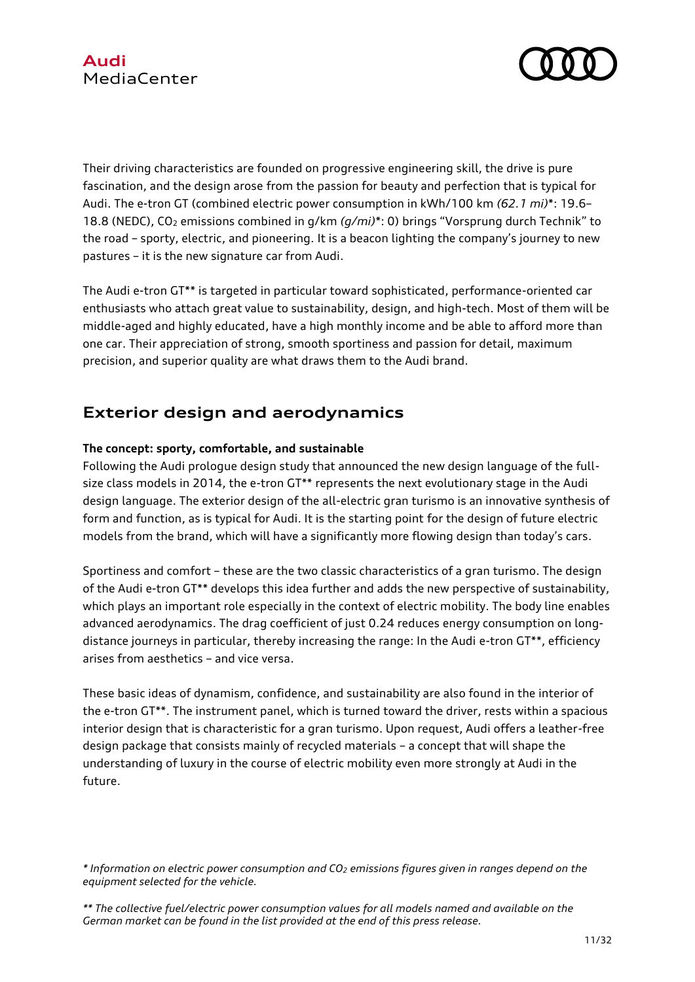

Their driving characteristics are founded on progressive engineering skill, the drive is pure fascination, and the design arose from the passion for beauty and perfection that is typical for Audi. The e-tron GT (combined electric power consumption in kWh/100 km *(62.1 mi)*\*: 19.6– 18.8 (NEDC), CO<sup>2</sup> emissions combined in g/km *(g/mi)*\*: 0) brings "Vorsprung durch Technik" to the road – sporty, electric, and pioneering. It is a beacon lighting the company's journey to new pastures – it is the new signature car from Audi.

The Audi e-tron GT\*\* is targeted in particular toward sophisticated, performance-oriented car enthusiasts who attach great value to sustainability, design, and high-tech. Most of them will be middle-aged and highly educated, have a high monthly income and be able to afford more than one car. Their appreciation of strong, smooth sportiness and passion for detail, maximum precision, and superior quality are what draws them to the Audi brand.

# **Exterior design and aerodynamics**

## **The concept: sporty, comfortable, and sustainable**

Following the Audi prologue design study that announced the new design language of the fullsize class models in 2014, the e-tron GT\*\* represents the next evolutionary stage in the Audi design language. The exterior design of the all-electric gran turismo is an innovative synthesis of form and function, as is typical for Audi. It is the starting point for the design of future electric models from the brand, which will have a significantly more flowing design than today's cars.

Sportiness and comfort – these are the two classic characteristics of a gran turismo. The design of the Audi e-tron GT\*\* develops this idea further and adds the new perspective of sustainability, which plays an important role especially in the context of electric mobility. The body line enables advanced aerodynamics. The drag coefficient of just 0.24 reduces energy consumption on longdistance journeys in particular, thereby increasing the range: In the Audi e-tron GT\*\*, efficiency arises from aesthetics – and vice versa.

These basic ideas of dynamism, confidence, and sustainability are also found in the interior of the e-tron GT\*\*. The instrument panel, which is turned toward the driver, rests within a spacious interior design that is characteristic for a gran turismo. Upon request, Audi offers a leather-free design package that consists mainly of recycled materials – a concept that will shape the understanding of luxury in the course of electric mobility even more strongly at Audi in the future.

*<sup>\*</sup> Information on electric power consumption and CO<sup>2</sup> emissions figures given in ranges depend on the equipment selected for the vehicle.*

*<sup>\*\*</sup> The collective fuel/electric power consumption values for all models named and available on the German market can be found in the list provided at the end of this press release.*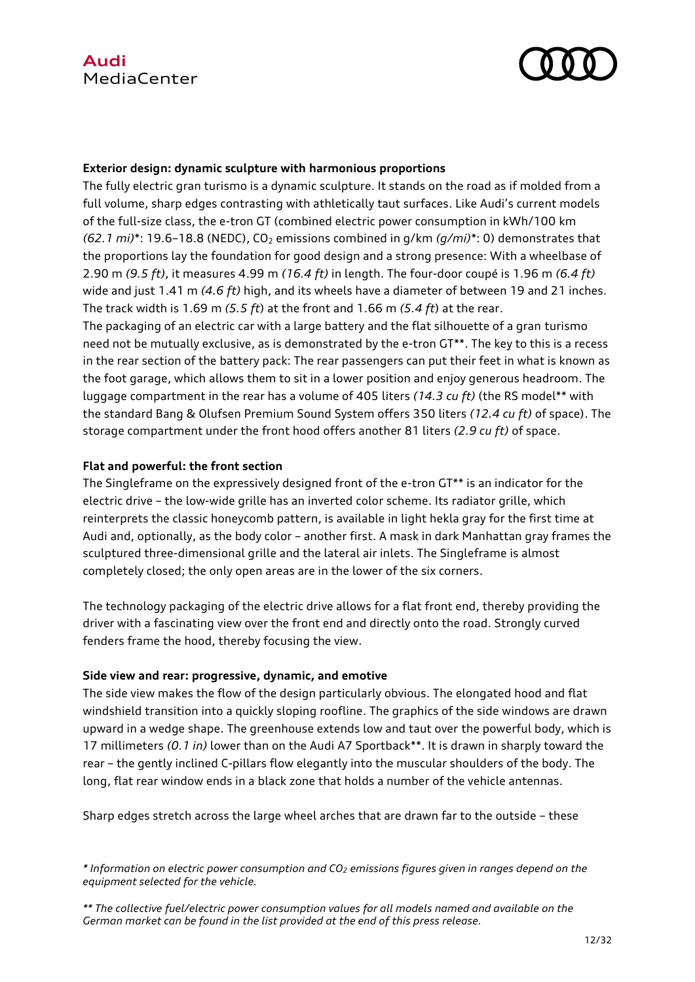

#### **Exterior design: dynamic sculpture with harmonious proportions**

The fully electric gran turismo is a dynamic sculpture. It stands on the road as if molded from a full volume, sharp edges contrasting with athletically taut surfaces. Like Audi's current models of the full-size class, the e-tron GT (combined electric power consumption in kWh/100 km  $(62.1 \text{ mi})^*$ : 19.6–18.8 (NEDC), CO<sub>2</sub> emissions combined in  $q/km (q/mi)^*$ : 0) demonstrates that the proportions lay the foundation for good design and a strong presence: With a wheelbase of 2.90 m *(9.5 ft)*, it measures 4.99 m *(16.4 ft)* in length. The four-door coupé is 1.96 m *(6.4 ft)*  wide and just 1.41 m *(4.6 ft)* high, and its wheels have a diameter of between 19 and 21 inches. The track width is 1.69 m *(5.5 ft*) at the front and 1.66 m *(5.4 ft*) at the rear.

The packaging of an electric car with a large battery and the flat silhouette of a gran turismo need not be mutually exclusive, as is demonstrated by the e-tron GT\*\*. The key to this is a recess in the rear section of the battery pack: The rear passengers can put their feet in what is known as the foot garage, which allows them to sit in a lower position and enjoy generous headroom. The luggage compartment in the rear has a volume of 405 liters *(14.3 cu ft)* (the RS model\*\* with the standard Bang & Olufsen Premium Sound System offers 350 liters *(12.4 cu ft)* of space). The storage compartment under the front hood offers another 81 liters *(2.9 cu ft)* of space.

#### **Flat and powerful: the front section**

The Singleframe on the expressively designed front of the e-tron GT\*\* is an indicator for the electric drive – the low-wide grille has an inverted color scheme. Its radiator grille, which reinterprets the classic honeycomb pattern, is available in light hekla gray for the first time at Audi and, optionally, as the body color – another first. A mask in dark Manhattan gray frames the sculptured three-dimensional grille and the lateral air inlets. The Singleframe is almost completely closed; the only open areas are in the lower of the six corners.

The technology packaging of the electric drive allows for a flat front end, thereby providing the driver with a fascinating view over the front end and directly onto the road. Strongly curved fenders frame the hood, thereby focusing the view.

#### **Side view and rear: progressive, dynamic, and emotive**

The side view makes the flow of the design particularly obvious. The elongated hood and flat windshield transition into a quickly sloping roofline. The graphics of the side windows are drawn upward in a wedge shape. The greenhouse extends low and taut over the powerful body, which is 17 millimeters *(0.1 in)* lower than on the Audi A7 Sportback\*\*. It is drawn in sharply toward the rear – the gently inclined C-pillars flow elegantly into the muscular shoulders of the body. The long, flat rear window ends in a black zone that holds a number of the vehicle antennas.

Sharp edges stretch across the large wheel arches that are drawn far to the outside – these

*<sup>\*</sup> Information on electric power consumption and CO<sup>2</sup> emissions figures given in ranges depend on the equipment selected for the vehicle.*

*<sup>\*\*</sup> The collective fuel/electric power consumption values for all models named and available on the German market can be found in the list provided at the end of this press release.*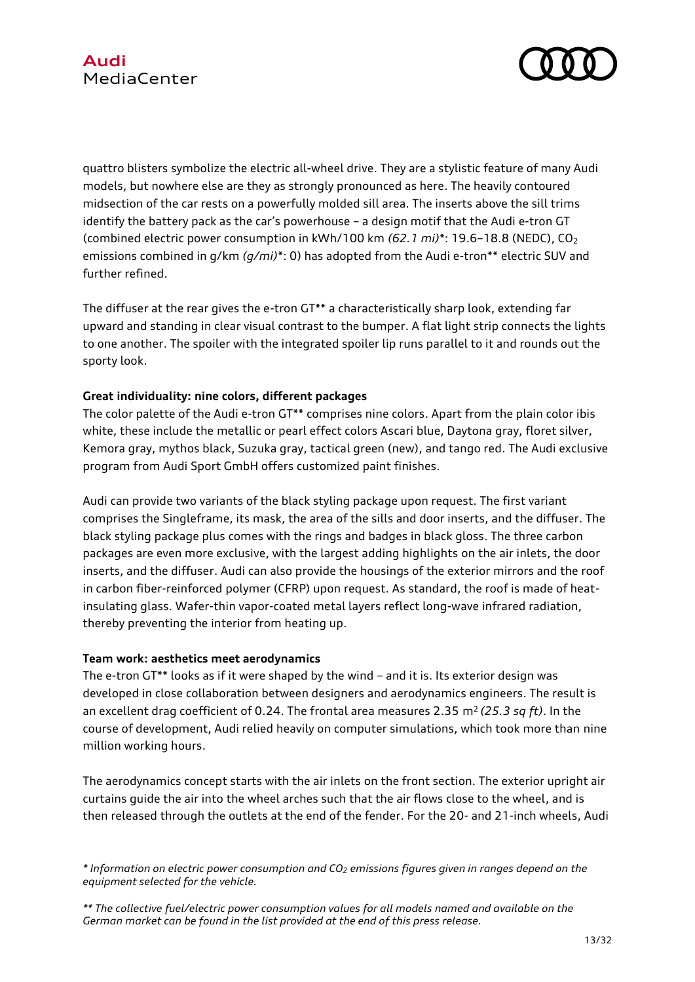

quattro blisters symbolize the electric all-wheel drive. They are a stylistic feature of many Audi models, but nowhere else are they as strongly pronounced as here. The heavily contoured midsection of the car rests on a powerfully molded sill area. The inserts above the sill trims identify the battery pack as the car's powerhouse – a design motif that the Audi e-tron GT (combined electric power consumption in kWh/100 km *(62.1 mi)*\*: 19.6–18.8 (NEDC), CO<sup>2</sup> emissions combined in g/km *(g/mi)*\*: 0) has adopted from the Audi e-tron\*\* electric SUV and further refined.

The diffuser at the rear gives the e-tron GT\*\* a characteristically sharp look, extending far upward and standing in clear visual contrast to the bumper. A flat light strip connects the lights to one another. The spoiler with the integrated spoiler lip runs parallel to it and rounds out the sporty look.

### **Great individuality: nine colors, different packages**

The color palette of the Audi e-tron GT\*\* comprises nine colors. Apart from the plain color ibis white, these include the metallic or pearl effect colors Ascari blue, Daytona gray, floret silver, Kemora gray, mythos black, Suzuka gray, tactical green (new), and tango red. The Audi exclusive program from Audi Sport GmbH offers customized paint finishes.

Audi can provide two variants of the black styling package upon request. The first variant comprises the Singleframe, its mask, the area of the sills and door inserts, and the diffuser. The black styling package plus comes with the rings and badges in black gloss. The three carbon packages are even more exclusive, with the largest adding highlights on the air inlets, the door inserts, and the diffuser. Audi can also provide the housings of the exterior mirrors and the roof in carbon fiber-reinforced polymer (CFRP) upon request. As standard, the roof is made of heatinsulating glass. Wafer-thin vapor-coated metal layers reflect long-wave infrared radiation, thereby preventing the interior from heating up.

### **Team work: aesthetics meet aerodynamics**

The e-tron GT\*\* looks as if it were shaped by the wind – and it is. Its exterior design was developed in close collaboration between designers and aerodynamics engineers. The result is an excellent drag coefficient of 0.24. The frontal area measures 2.35 m<sup>2</sup> (25.3 sq ft). In the course of development, Audi relied heavily on computer simulations, which took more than nine million working hours.

The aerodynamics concept starts with the air inlets on the front section. The exterior upright air curtains guide the air into the wheel arches such that the air flows close to the wheel, and is then released through the outlets at the end of the fender. For the 20- and 21-inch wheels, Audi

*<sup>\*</sup> Information on electric power consumption and CO<sup>2</sup> emissions figures given in ranges depend on the equipment selected for the vehicle.*

*<sup>\*\*</sup> The collective fuel/electric power consumption values for all models named and available on the German market can be found in the list provided at the end of this press release.*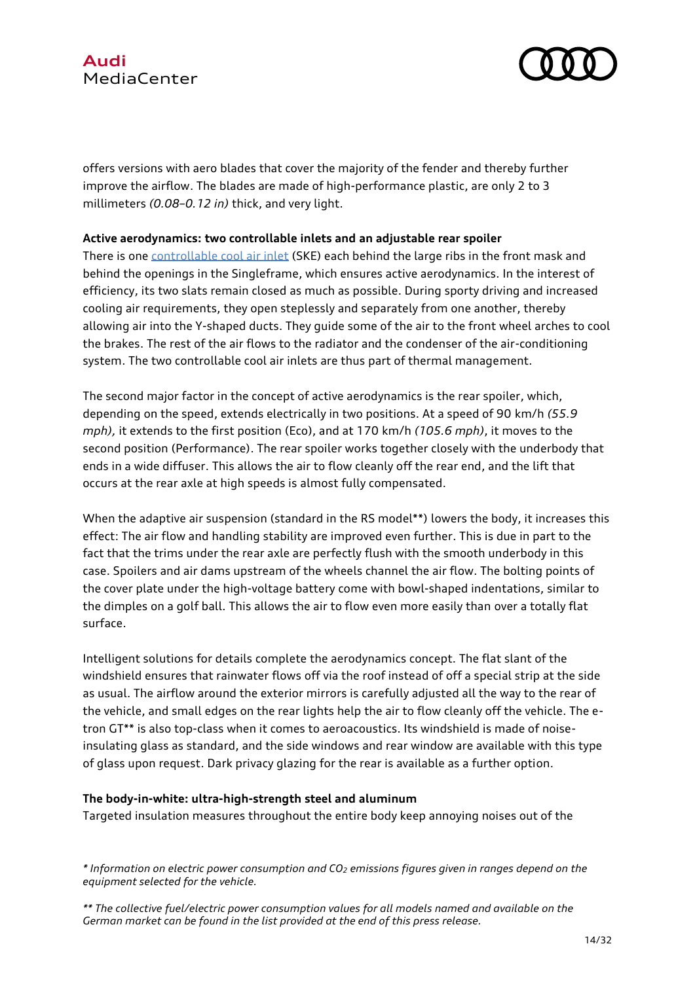



offers versions with aero blades that cover the majority of the fender and thereby further improve the airflow. The blades are made of high-performance plastic, are only 2 to 3 millimeters *(0.08–0.12 in)* thick, and very light.

#### **Active aerodynamics: two controllable inlets and an adjustable rear spoiler**

There is one [controllable cool air inlet](https://www.audi-mediacenter.com/en/technology-lexicon-7180/interiors-9339#steuerbarer-kuehllufteinlass) (SKE) each behind the large ribs in the front mask and behind the openings in the Singleframe, which ensures active aerodynamics. In the interest of efficiency, its two slats remain closed as much as possible. During sporty driving and increased cooling air requirements, they open steplessly and separately from one another, thereby allowing air into the Y-shaped ducts. They guide some of the air to the front wheel arches to cool the brakes. The rest of the air flows to the radiator and the condenser of the air-conditioning system. The two controllable cool air inlets are thus part of thermal management.

The second major factor in the concept of active aerodynamics is the rear spoiler, which, depending on the speed, extends electrically in two positions. At a speed of 90 km/h *(55.9 mph),* it extends to the first position (Eco), and at 170 km/h *(105.6 mph)*, it moves to the second position (Performance). The rear spoiler works together closely with the underbody that ends in a wide diffuser. This allows the air to flow cleanly off the rear end, and the lift that occurs at the rear axle at high speeds is almost fully compensated.

When the adaptive air suspension (standard in the RS model\*\*) lowers the body, it increases this effect: The air flow and handling stability are improved even further. This is due in part to the fact that the trims under the rear axle are perfectly flush with the smooth underbody in this case. Spoilers and air dams upstream of the wheels channel the air flow. The bolting points of the cover plate under the high-voltage battery come with bowl-shaped indentations, similar to the dimples on a golf ball. This allows the air to flow even more easily than over a totally flat surface.

Intelligent solutions for details complete the aerodynamics concept. The flat slant of the windshield ensures that rainwater flows off via the roof instead of off a special strip at the side as usual. The airflow around the exterior mirrors is carefully adjusted all the way to the rear of the vehicle, and small edges on the rear lights help the air to flow cleanly off the vehicle. The etron GT\*\* is also top-class when it comes to aeroacoustics. Its windshield is made of noiseinsulating glass as standard, and the side windows and rear window are available with this type of glass upon request. Dark privacy glazing for the rear is available as a further option.

#### **The body-in-white: ultra-high-strength steel and aluminum**

Targeted insulation measures throughout the entire body keep annoying noises out of the

*<sup>\*</sup> Information on electric power consumption and CO<sup>2</sup> emissions figures given in ranges depend on the equipment selected for the vehicle.*

*<sup>\*\*</sup> The collective fuel/electric power consumption values for all models named and available on the German market can be found in the list provided at the end of this press release.*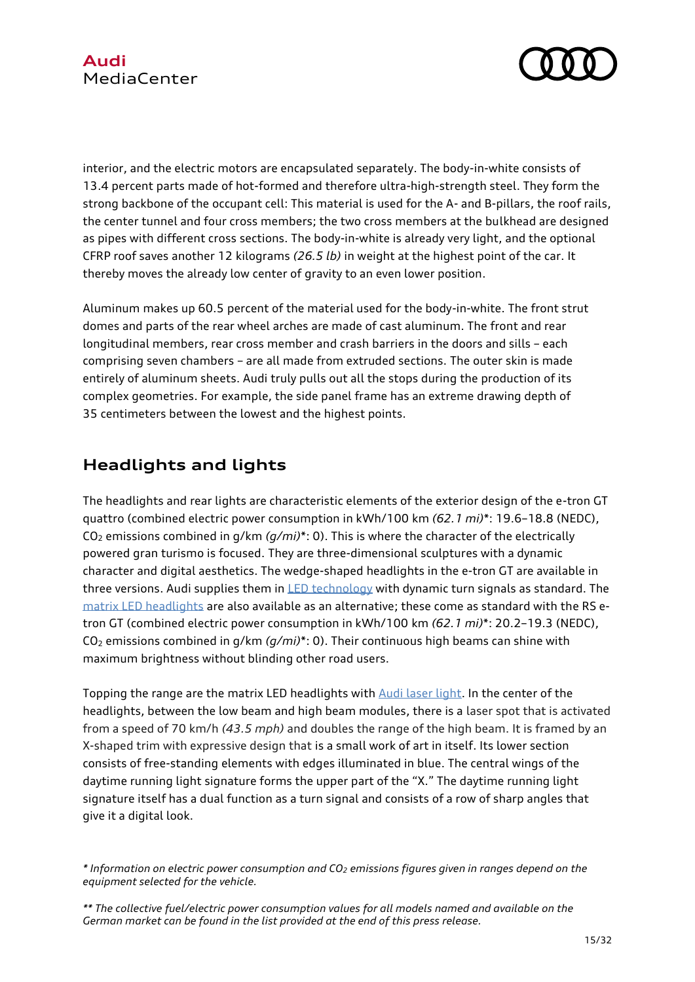

interior, and the electric motors are encapsulated separately. The body-in-white consists of 13.4 percent parts made of hot-formed and therefore ultra-high-strength steel. They form the strong backbone of the occupant cell: This material is used for the A- and B-pillars, the roof rails, the center tunnel and four cross members; the two cross members at the bulkhead are designed as pipes with different cross sections. The body-in-white is already very light, and the optional CFRP roof saves another 12 kilograms *(26.5 lb)* in weight at the highest point of the car. It thereby moves the already low center of gravity to an even lower position.

Aluminum makes up 60.5 percent of the material used for the body-in-white. The front strut domes and parts of the rear wheel arches are made of cast aluminum. The front and rear longitudinal members, rear cross member and crash barriers in the doors and sills – each comprising seven chambers – are all made from extruded sections. The outer skin is made entirely of aluminum sheets. Audi truly pulls out all the stops during the production of its complex geometries. For example, the side panel frame has an extreme drawing depth of 35 centimeters between the lowest and the highest points.

# **Headlights and lights**

The headlights and rear lights are characteristic elements of the exterior design of the e-tron GT quattro (combined electric power consumption in kWh/100 km *(62.1 mi)*\*: 19.6–18.8 (NEDC), CO<sup>2</sup> emissions combined in g/km *(g/mi)*\*: 0). This is where the character of the electrically powered gran turismo is focused. They are three-dimensional sculptures with a dynamic character and digital aesthetics. The wedge-shaped headlights in the e-tron GT are available in three versions. Audi supplies them in [LED technology](https://www.audi-mediacenter.com/en/technology-lexicon-7180/lighting-7187#led-scheinwerfer) with dynamic turn signals as standard. The [matrix LED headlights](https://www.audi-mediacenter.com/en/technology-lexicon-7180/lighting-7187#hd-matrix-led-scheinwerfer) are also available as an alternative; these come as standard with the RS etron GT (combined electric power consumption in kWh/100 km *(62.1 mi)*\*: 20.2–19.3 (NEDC), CO<sup>2</sup> emissions combined in g/km *(g/mi)*\*: 0). Their continuous high beams can shine with maximum brightness without blinding other road users.

Topping the range are the matrix LED headlights with [Audi laser light.](https://www.audi-mediacenter.com/en/technology-lexicon-7180/lighting-7187#audi-laserlicht) In the center of the headlights, between the low beam and high beam modules, there is a laser spot that is activated from a speed of 70 km/h *(43.5 mph)* and doubles the range of the high beam. It is framed by an X-shaped trim with expressive design that is a small work of art in itself. Its lower section consists of free-standing elements with edges illuminated in blue. The central wings of the daytime running light signature forms the upper part of the "X." The daytime running light signature itself has a dual function as a turn signal and consists of a row of sharp angles that give it a digital look.

*<sup>\*</sup> Information on electric power consumption and CO<sup>2</sup> emissions figures given in ranges depend on the equipment selected for the vehicle.*

*<sup>\*\*</sup> The collective fuel/electric power consumption values for all models named and available on the German market can be found in the list provided at the end of this press release.*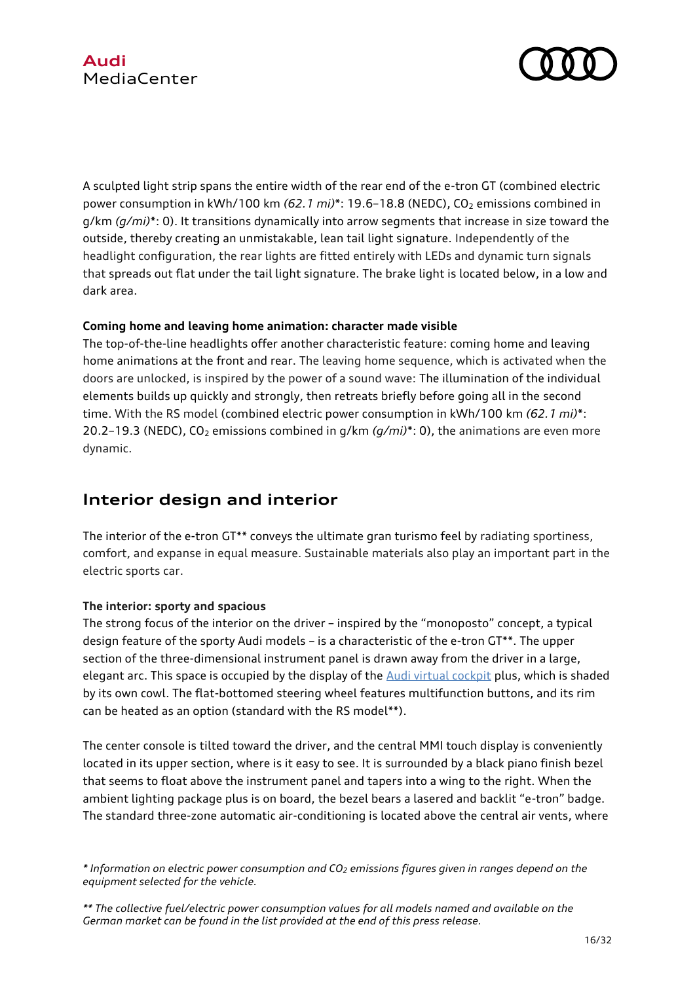

A sculpted light strip spans the entire width of the rear end of the e-tron GT (combined electric power consumption in kWh/100 km  $(62.1 \text{ mi})^*$ : 19.6-18.8 (NEDC), CO<sub>2</sub> emissions combined in g/km *(g/mi)*\*: 0). It transitions dynamically into arrow segments that increase in size toward the outside, thereby creating an unmistakable, lean tail light signature. Independently of the headlight configuration, the rear lights are fitted entirely with LEDs and dynamic turn signals that spreads out flat under the tail light signature. The brake light is located below, in a low and dark area.

### **Coming home and leaving home animation: character made visible**

The top-of-the-line headlights offer another characteristic feature: coming home and leaving home animations at the front and rear. The leaving home sequence, which is activated when the doors are unlocked, is inspired by the power of a sound wave: The illumination of the individual elements builds up quickly and strongly, then retreats briefly before going all in the second time. With the RS model (combined electric power consumption in kWh/100 km *(62.1 mi)*\*: 20.2–19.3 (NEDC), CO<sup>2</sup> emissions combined in g/km *(g/mi)*\*: 0), the animations are even more dynamic.

# **Interior design and interior**

The interior of the e-tron GT\*\* conveys the ultimate gran turismo feel by radiating sportiness, comfort, and expanse in equal measure. Sustainable materials also play an important part in the electric sports car.

## **The interior: sporty and spacious**

The strong focus of the interior on the driver – inspired by the "monoposto" concept, a typical design feature of the sporty Audi models – is a characteristic of the e-tron GT\*\*. The upper section of the three-dimensional instrument panel is drawn away from the driver in a large, elegant arc. This space is occupied by the display of the [Audi virtual cockpit](https://www.audi-mediacenter.com/en/technology-lexicon-7180/user-operation-and-displays-7182#audi-virtual-cockpit) plus, which is shaded by its own cowl. The flat-bottomed steering wheel features multifunction buttons, and its rim can be heated as an option (standard with the RS model\*\*).

The center console is tilted toward the driver, and the central MMI touch display is conveniently located in its upper section, where is it easy to see. It is surrounded by a black piano finish bezel that seems to float above the instrument panel and tapers into a wing to the right. When the ambient lighting package plus is on board, the bezel bears a lasered and backlit "e-tron" badge. The standard three-zone automatic air-conditioning is located above the central air vents, where

*<sup>\*</sup> Information on electric power consumption and CO<sup>2</sup> emissions figures given in ranges depend on the equipment selected for the vehicle.*

*<sup>\*\*</sup> The collective fuel/electric power consumption values for all models named and available on the German market can be found in the list provided at the end of this press release.*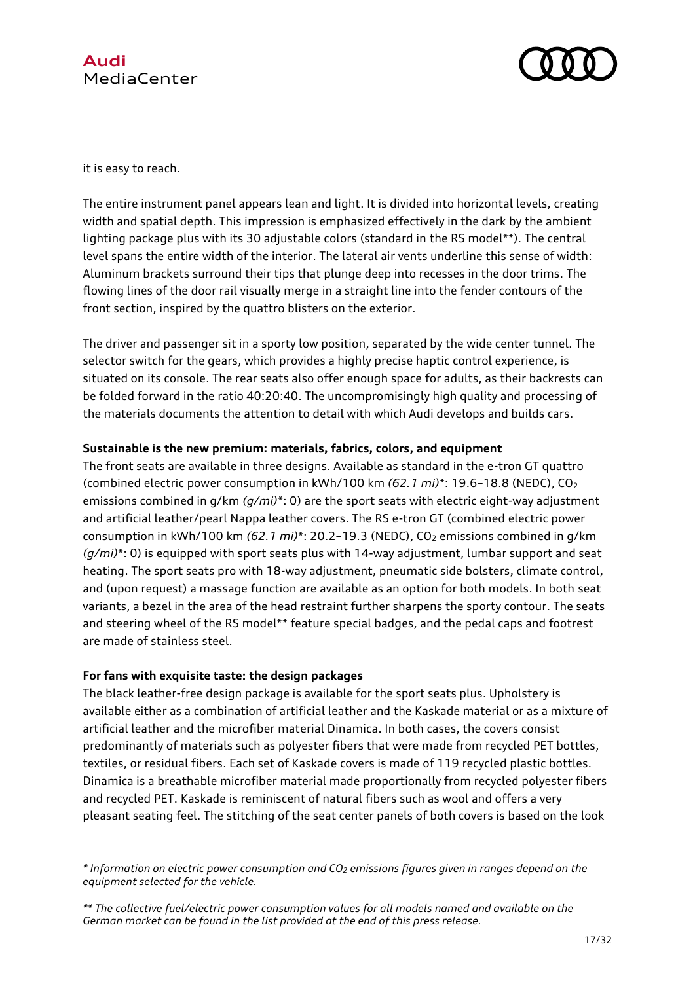



it is easy to reach.

The entire instrument panel appears lean and light. It is divided into horizontal levels, creating width and spatial depth. This impression is emphasized effectively in the dark by the ambient lighting package plus with its 30 adjustable colors (standard in the RS model\*\*). The central level spans the entire width of the interior. The lateral air vents underline this sense of width: Aluminum brackets surround their tips that plunge deep into recesses in the door trims. The flowing lines of the door rail visually merge in a straight line into the fender contours of the front section, inspired by the quattro blisters on the exterior.

The driver and passenger sit in a sporty low position, separated by the wide center tunnel. The selector switch for the gears, which provides a highly precise haptic control experience, is situated on its console. The rear seats also offer enough space for adults, as their backrests can be folded forward in the ratio 40:20:40. The uncompromisingly high quality and processing of the materials documents the attention to detail with which Audi develops and builds cars.

#### **Sustainable is the new premium: materials, fabrics, colors, and equipment**

The front seats are available in three designs. Available as standard in the e-tron GT quattro (combined electric power consumption in kWh/100 km *(62.1 mi)*\*: 19.6–18.8 (NEDC), CO<sup>2</sup> emissions combined in g/km *(g/mi)*\*: 0) are the sport seats with electric eight-way adjustment and artificial leather/pearl Nappa leather covers. The RS e-tron GT (combined electric power consumption in kWh/100 km (62.1 *mi*)\*: 20.2-19.3 (NEDC), CO<sub>2</sub> emissions combined in g/km *(g/mi)*\*: 0) is equipped with sport seats plus with 14-way adjustment, lumbar support and seat heating. The sport seats pro with 18-way adjustment, pneumatic side bolsters, climate control, and (upon request) a massage function are available as an option for both models. In both seat variants, a bezel in the area of the head restraint further sharpens the sporty contour. The seats and steering wheel of the RS model\*\* feature special badges, and the pedal caps and footrest are made of stainless steel.

#### **For fans with exquisite taste: the design packages**

The black leather-free design package is available for the sport seats plus. Upholstery is available either as a combination of artificial leather and the Kaskade material or as a mixture of artificial leather and the microfiber material Dinamica. In both cases, the covers consist predominantly of materials such as polyester fibers that were made from recycled PET bottles, textiles, or residual fibers. Each set of Kaskade covers is made of 119 recycled plastic bottles. Dinamica is a breathable microfiber material made proportionally from recycled polyester fibers and recycled PET. Kaskade is reminiscent of natural fibers such as wool and offers a very pleasant seating feel. The stitching of the seat center panels of both covers is based on the look

*<sup>\*</sup> Information on electric power consumption and CO<sup>2</sup> emissions figures given in ranges depend on the equipment selected for the vehicle.*

*<sup>\*\*</sup> The collective fuel/electric power consumption values for all models named and available on the German market can be found in the list provided at the end of this press release.*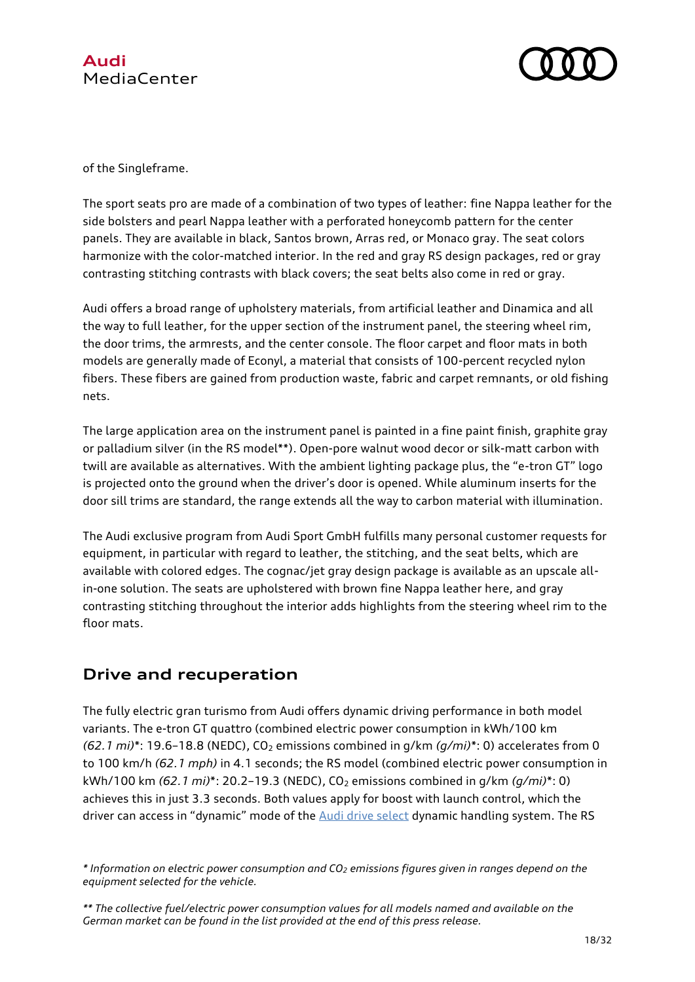



of the Singleframe.

The sport seats pro are made of a combination of two types of leather: fine Nappa leather for the side bolsters and pearl Nappa leather with a perforated honeycomb pattern for the center panels. They are available in black, Santos brown, Arras red, or Monaco gray. The seat colors harmonize with the color-matched interior. In the red and gray RS design packages, red or gray contrasting stitching contrasts with black covers; the seat belts also come in red or gray.

Audi offers a broad range of upholstery materials, from artificial leather and Dinamica and all the way to full leather, for the upper section of the instrument panel, the steering wheel rim, the door trims, the armrests, and the center console. The floor carpet and floor mats in both models are generally made of Econyl, a material that consists of 100-percent recycled nylon fibers. These fibers are gained from production waste, fabric and carpet remnants, or old fishing nets.

The large application area on the instrument panel is painted in a fine paint finish, graphite gray or palladium silver (in the RS model\*\*). Open-pore walnut wood decor or silk-matt carbon with twill are available as alternatives. With the ambient lighting package plus, the "e-tron GT" logo is projected onto the ground when the driver's door is opened. While aluminum inserts for the door sill trims are standard, the range extends all the way to carbon material with illumination.

The Audi exclusive program from Audi Sport GmbH fulfills many personal customer requests for equipment, in particular with regard to leather, the stitching, and the seat belts, which are available with colored edges. The cognac/jet gray design package is available as an upscale allin-one solution. The seats are upholstered with brown fine Nappa leather here, and gray contrasting stitching throughout the interior adds highlights from the steering wheel rim to the floor mats.

# **Drive and recuperation**

The fully electric gran turismo from Audi offers dynamic driving performance in both model variants. The e-tron GT quattro (combined electric power consumption in kWh/100 km *(62.1 mi)*\*: 19.6–18.8 (NEDC), CO<sup>2</sup> emissions combined in g/km *(g/mi)*\*: 0) accelerates from 0 to 100 km/h *(62.1 mph)* in 4.1 seconds; the RS model (combined electric power consumption in kWh/100 km *(62.1 mi)*\*: 20.2–19.3 (NEDC), CO<sup>2</sup> emissions combined in g/km *(g/mi)*\*: 0) achieves this in just 3.3 seconds. Both values apply for boost with launch control, which the driver can access in "dynamic" mode of the [Audi drive select](https://www.audi-mediacenter.com/en/technology-lexicon-7180/chassis-7185#audi-drive-select) dynamic handling system. The RS

*<sup>\*</sup> Information on electric power consumption and CO<sup>2</sup> emissions figures given in ranges depend on the equipment selected for the vehicle.*

*<sup>\*\*</sup> The collective fuel/electric power consumption values for all models named and available on the German market can be found in the list provided at the end of this press release.*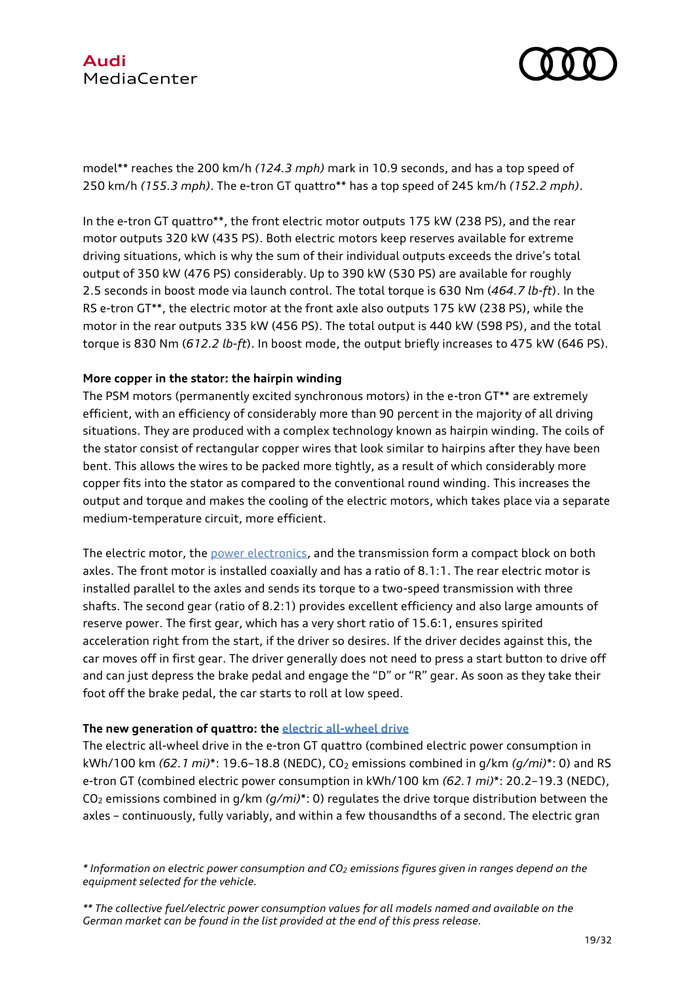



model\*\* reaches the 200 km/h *(124.3 mph)* mark in 10.9 seconds, and has a top speed of 250 km/h *(155.3 mph)*. The e-tron GT quattro\*\* has a top speed of 245 km/h *(152.2 mph)*.

In the e-tron GT quattro\*\*, the front electric motor outputs 175 kW (238 PS), and the rear motor outputs 320 kW (435 PS). Both electric motors keep reserves available for extreme driving situations, which is why the sum of their individual outputs exceeds the drive's total output of 350 kW (476 PS) considerably. Up to 390 kW (530 PS) are available for roughly 2.5 seconds in boost mode via launch control. The total torque is 630 Nm (*464.7 lb-ft*). In the RS e-tron GT\*\*, the electric motor at the front axle also outputs 175 kW (238 PS), while the motor in the rear outputs 335 kW (456 PS). The total output is 440 kW (598 PS), and the total torque is 830 Nm (*612.2 lb-ft*). In boost mode, the output briefly increases to 475 kW (646 PS).

#### **More copper in the stator: the hairpin winding**

The PSM motors (permanently excited synchronous motors) in the e-tron GT\*\* are extremely efficient, with an efficiency of considerably more than 90 percent in the majority of all driving situations. They are produced with a complex technology known as hairpin winding. The coils of the stator consist of rectangular copper wires that look similar to hairpins after they have been bent. This allows the wires to be packed more tightly, as a result of which considerably more copper fits into the stator as compared to the conventional round winding. This increases the output and torque and makes the cooling of the electric motors, which takes place via a separate medium-temperature circuit, more efficient.

The electric motor, the [power electronics,](https://www.audi-mediacenter.com/en/technology-lexicon-7180/drive-system-7227#leistungselektronik) and the transmission form a compact block on both axles. The front motor is installed coaxially and has a ratio of 8.1:1. The rear electric motor is installed parallel to the axles and sends its torque to a two-speed transmission with three shafts. The second gear (ratio of 8.2:1) provides excellent efficiency and also large amounts of reserve power. The first gear, which has a very short ratio of 15.6:1, ensures spirited acceleration right from the start, if the driver so desires. If the driver decides against this, the car moves off in first gear. The driver generally does not need to press a start button to drive off and can just depress the brake pedal and engage the "D" or "R" gear. As soon as they take their foot off the brake pedal, the car starts to roll at low speed.

#### **The new generation of quattro: the [electric all-wheel drive](https://www.audi-mediacenter.com/en/technology-lexicon-7180/drive-system-7227#elektrischer-allradantrieb)**

The electric all-wheel drive in the e-tron GT quattro (combined electric power consumption in kWh/100 km *(62.1 mi)*\*: 19.6–18.8 (NEDC), CO<sup>2</sup> emissions combined in g/km *(g/mi)*\*: 0) and RS e-tron GT (combined electric power consumption in kWh/100 km *(62.1 mi)*\*: 20.2–19.3 (NEDC), CO<sup>2</sup> emissions combined in g/km *(g/mi)*\*: 0) regulates the drive torque distribution between the axles – continuously, fully variably, and within a few thousandths of a second. The electric gran

*<sup>\*</sup> Information on electric power consumption and CO<sup>2</sup> emissions figures given in ranges depend on the equipment selected for the vehicle.*

*<sup>\*\*</sup> The collective fuel/electric power consumption values for all models named and available on the German market can be found in the list provided at the end of this press release.*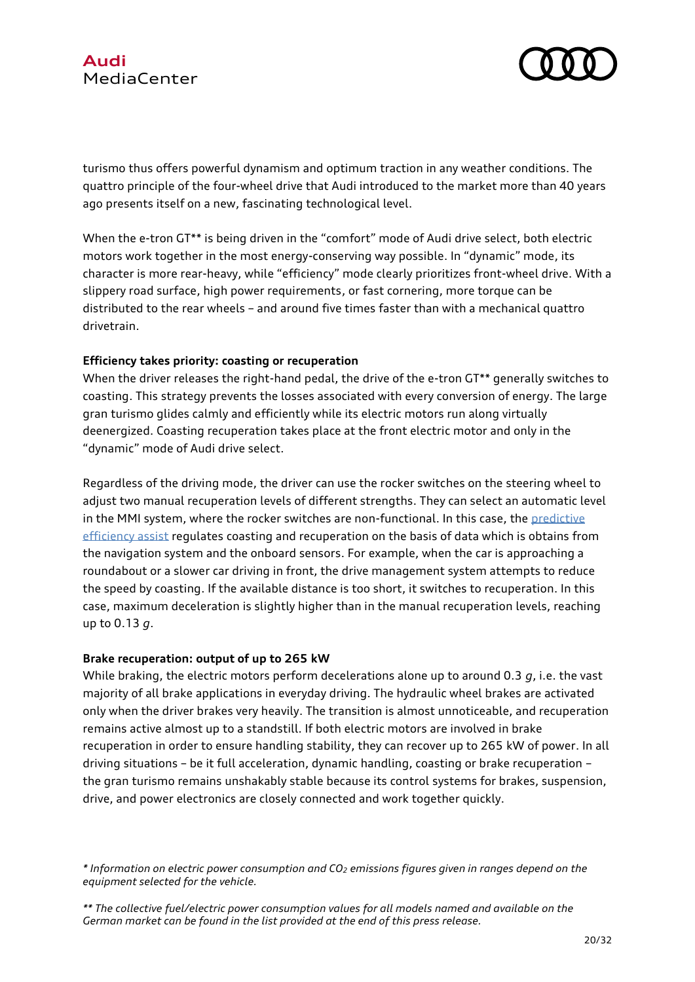

turismo thus offers powerful dynamism and optimum traction in any weather conditions. The quattro principle of the four-wheel drive that Audi introduced to the market more than 40 years ago presents itself on a new, fascinating technological level.

When the e-tron GT\*\* is being driven in the "comfort" mode of Audi drive select, both electric motors work together in the most energy-conserving way possible. In "dynamic" mode, its character is more rear-heavy, while "efficiency" mode clearly prioritizes front-wheel drive. With a slippery road surface, high power requirements, or fast cornering, more torque can be distributed to the rear wheels – and around five times faster than with a mechanical quattro drivetrain.

### **Efficiency takes priority: coasting or recuperation**

When the driver releases the right-hand pedal, the drive of the e-tron GT\*\* generally switches to coasting. This strategy prevents the losses associated with every conversion of energy. The large gran turismo glides calmly and efficiently while its electric motors run along virtually deenergized. Coasting recuperation takes place at the front electric motor and only in the "dynamic" mode of Audi drive select.

Regardless of the driving mode, the driver can use the rocker switches on the steering wheel to adjust two manual recuperation levels of different strengths. They can select an automatic level in the MMI system, where the rocker switches are non-functional. In this case, the [predictive](https://www.audi-mediacenter.com/en/technology-lexicon-7180/driver-assistance-systems-7184#praediktiver-effizienzassistent)  [efficiency assist](https://www.audi-mediacenter.com/en/technology-lexicon-7180/driver-assistance-systems-7184#praediktiver-effizienzassistent) regulates coasting and recuperation on the basis of data which is obtains from the navigation system and the onboard sensors. For example, when the car is approaching a roundabout or a slower car driving in front, the drive management system attempts to reduce the speed by coasting. If the available distance is too short, it switches to recuperation. In this case, maximum deceleration is slightly higher than in the manual recuperation levels, reaching up to 0.13 *g*.

### **Brake recuperation: output of up to 265 kW**

While braking, the electric motors perform decelerations alone up to around 0.3 *g*, i.e. the vast majority of all brake applications in everyday driving. The hydraulic wheel brakes are activated only when the driver brakes very heavily. The transition is almost unnoticeable, and recuperation remains active almost up to a standstill. If both electric motors are involved in brake recuperation in order to ensure handling stability, they can recover up to 265 kW of power. In all driving situations – be it full acceleration, dynamic handling, coasting or brake recuperation – the gran turismo remains unshakably stable because its control systems for brakes, suspension, drive, and power electronics are closely connected and work together quickly.

*<sup>\*</sup> Information on electric power consumption and CO<sup>2</sup> emissions figures given in ranges depend on the equipment selected for the vehicle.*

*<sup>\*\*</sup> The collective fuel/electric power consumption values for all models named and available on the German market can be found in the list provided at the end of this press release.*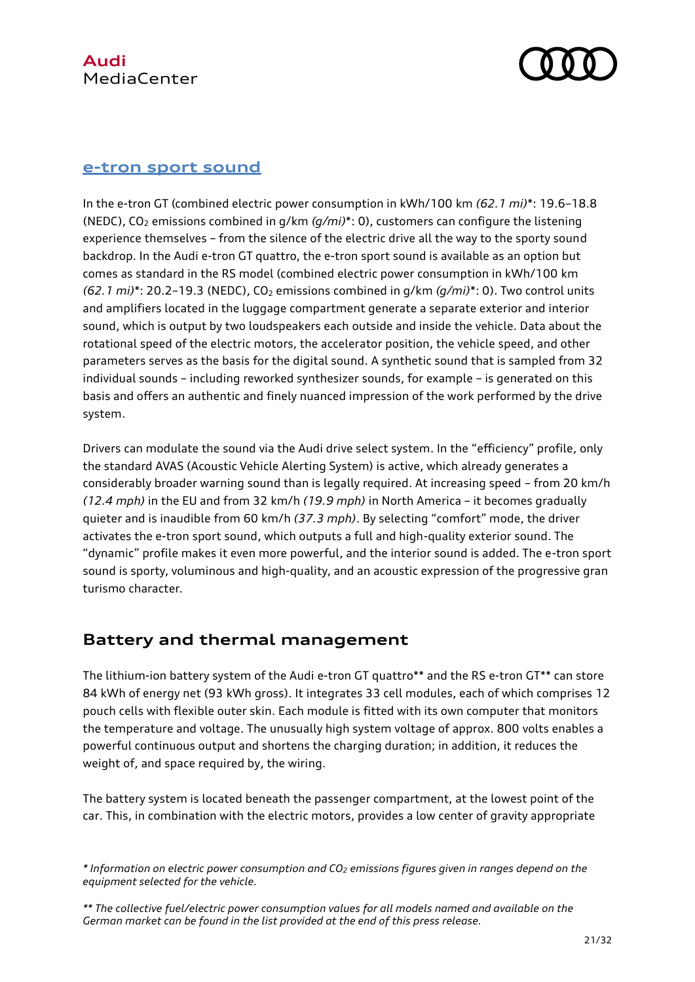

## **[e-tron sport sound](https://www.audi-mediacenter.com/en/high-tech-meets-craftsmanshipproduction-of-the-audi-e-tron-gt-at-boellinger-hoefe-13242/creativity-and-classic-engineering-work-e-sound-of-the-audi-e-tron-gt-13246)**

In the e-tron GT (combined electric power consumption in kWh/100 km *(62.1 mi)*\*: 19.6–18.8 (NEDC), CO<sup>2</sup> emissions combined in g/km *(g/mi)*\*: 0), customers can configure the listening experience themselves – from the silence of the electric drive all the way to the sporty sound backdrop. In the Audi e-tron GT quattro, the e-tron sport sound is available as an option but comes as standard in the RS model (combined electric power consumption in kWh/100 km *(62.1 mi)*\*: 20.2–19.3 (NEDC), CO<sup>2</sup> emissions combined in g/km *(g/mi)*\*: 0). Two control units and amplifiers located in the luggage compartment generate a separate exterior and interior sound, which is output by two loudspeakers each outside and inside the vehicle. Data about the rotational speed of the electric motors, the accelerator position, the vehicle speed, and other parameters serves as the basis for the digital sound. A synthetic sound that is sampled from 32 individual sounds – including reworked synthesizer sounds, for example – is generated on this basis and offers an authentic and finely nuanced impression of the work performed by the drive system.

Drivers can modulate the sound via the Audi drive select system. In the "efficiency" profile, only the standard AVAS (Acoustic Vehicle Alerting System) is active, which already generates a considerably broader warning sound than is legally required. At increasing speed – from 20 km/h *(12.4 mph)* in the EU and from 32 km/h *(19.9 mph)* in North America – it becomes gradually quieter and is inaudible from 60 km/h *(37.3 mph)*. By selecting "comfort" mode, the driver activates the e-tron sport sound, which outputs a full and high-quality exterior sound. The "dynamic" profile makes it even more powerful, and the interior sound is added. The e-tron sport sound is sporty, voluminous and high-quality, and an acoustic expression of the progressive gran turismo character.

# **Battery and thermal management**

The lithium-ion battery system of the Audi e-tron GT quattro\*\* and the RS e-tron GT\*\* can store 84 kWh of energy net (93 kWh gross). It integrates 33 cell modules, each of which comprises 12 pouch cells with flexible outer skin. Each module is fitted with its own computer that monitors the temperature and voltage. The unusually high system voltage of approx. 800 volts enables a powerful continuous output and shortens the charging duration; in addition, it reduces the weight of, and space required by, the wiring.

The battery system is located beneath the passenger compartment, at the lowest point of the car. This, in combination with the electric motors, provides a low center of gravity appropriate

*<sup>\*</sup> Information on electric power consumption and CO<sup>2</sup> emissions figures given in ranges depend on the equipment selected for the vehicle.*

*<sup>\*\*</sup> The collective fuel/electric power consumption values for all models named and available on the German market can be found in the list provided at the end of this press release.*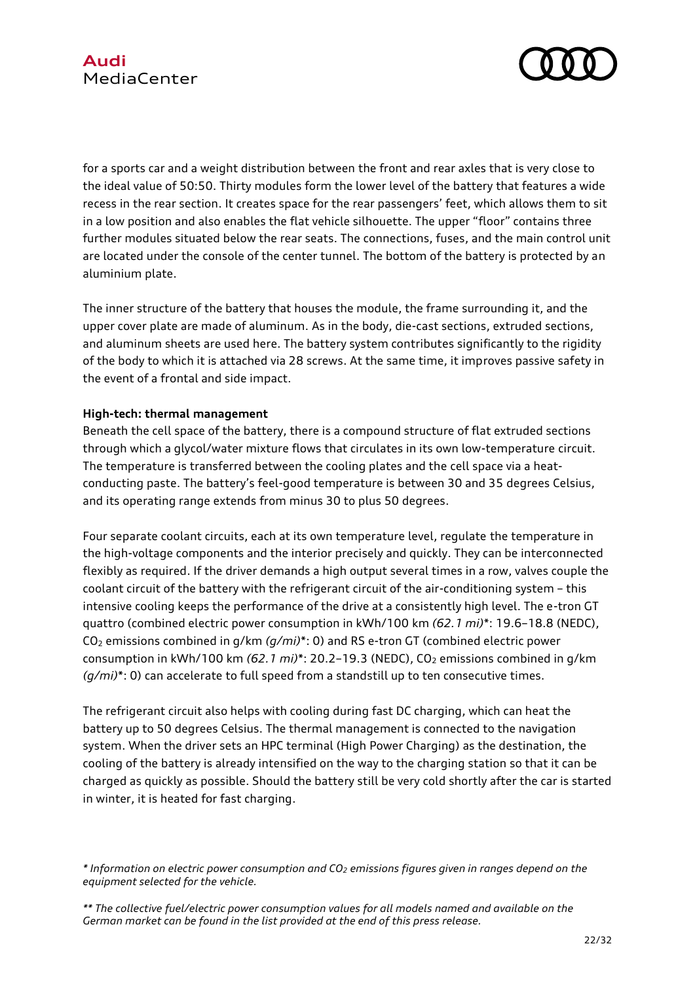

for a sports car and a weight distribution between the front and rear axles that is very close to the ideal value of 50:50. Thirty modules form the lower level of the battery that features a wide recess in the rear section. It creates space for the rear passengers' feet, which allows them to sit in a low position and also enables the flat vehicle silhouette. The upper "floor" contains three further modules situated below the rear seats. The connections, fuses, and the main control unit are located under the console of the center tunnel. The bottom of the battery is protected by an aluminium plate.

The inner structure of the battery that houses the module, the frame surrounding it, and the upper cover plate are made of aluminum. As in the body, die-cast sections, extruded sections, and aluminum sheets are used here. The battery system contributes significantly to the rigidity of the body to which it is attached via 28 screws. At the same time, it improves passive safety in the event of a frontal and side impact.

### **High-tech: thermal management**

Beneath the cell space of the battery, there is a compound structure of flat extruded sections through which a glycol/water mixture flows that circulates in its own low-temperature circuit. The temperature is transferred between the cooling plates and the cell space via a heatconducting paste. The battery's feel-good temperature is between 30 and 35 degrees Celsius, and its operating range extends from minus 30 to plus 50 degrees.

Four separate coolant circuits, each at its own temperature level, regulate the temperature in the high-voltage components and the interior precisely and quickly. They can be interconnected flexibly as required. If the driver demands a high output several times in a row, valves couple the coolant circuit of the battery with the refrigerant circuit of the air-conditioning system – this intensive cooling keeps the performance of the drive at a consistently high level. The e-tron GT quattro (combined electric power consumption in kWh/100 km *(62.1 mi)*\*: 19.6–18.8 (NEDC), CO<sup>2</sup> emissions combined in g/km *(g/mi)*\*: 0) and RS e-tron GT (combined electric power consumption in kWh/100 km (62.1 *mi*)\*: 20.2-19.3 (NEDC), CO<sub>2</sub> emissions combined in q/km *(g/mi)*\*: 0) can accelerate to full speed from a standstill up to ten consecutive times.

The refrigerant circuit also helps with cooling during fast DC charging, which can heat the battery up to 50 degrees Celsius. The thermal management is connected to the navigation system. When the driver sets an HPC terminal (High Power Charging) as the destination, the cooling of the battery is already intensified on the way to the charging station so that it can be charged as quickly as possible. Should the battery still be very cold shortly after the car is started in winter, it is heated for fast charging.

*<sup>\*</sup> Information on electric power consumption and CO<sup>2</sup> emissions figures given in ranges depend on the equipment selected for the vehicle.*

*<sup>\*\*</sup> The collective fuel/electric power consumption values for all models named and available on the German market can be found in the list provided at the end of this press release.*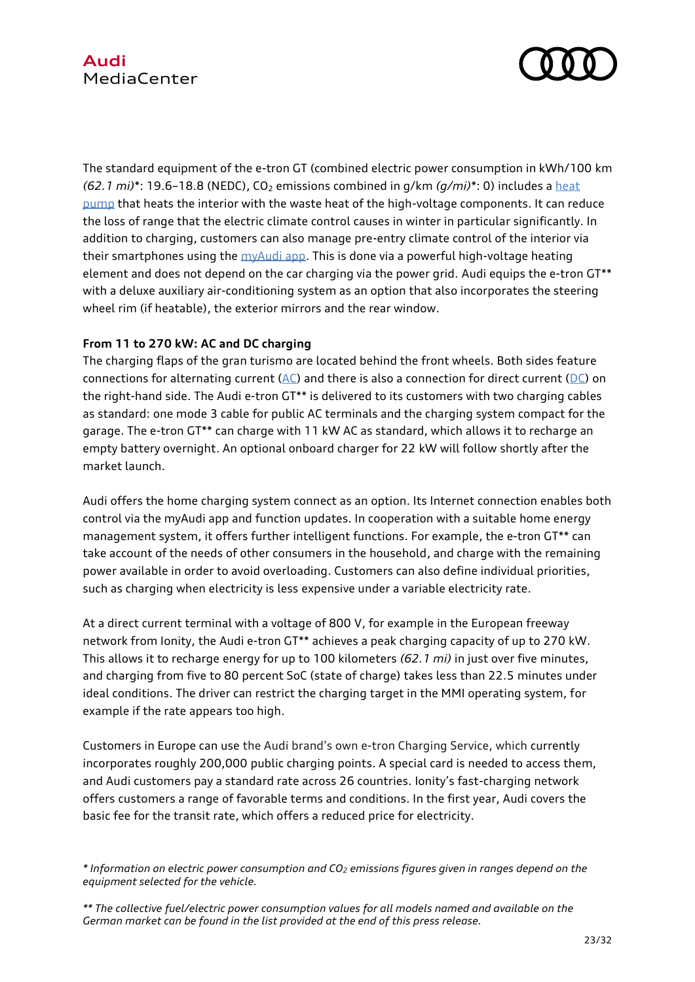

The standard equipment of the e-tron GT (combined electric power consumption in kWh/100 km  $(62.1 \text{ mi})^*$ : 19.6–18.8 (NEDC), CO<sub>2</sub> emissions combined in  $q/km (q/mi)^*$ : 0) includes a heat [pump](https://www.audi-mediacenter.com/en/technology-lexicon-7180/interiors-9339#waermepumpe) that heats the interior with the waste heat of the high-voltage components. It can reduce the loss of range that the electric climate control causes in winter in particular significantly. In addition to charging, customers can also manage pre-entry climate control of the interior via their smartphones using the [myAudi app.](https://www.audi-mediacenter.com/en/technology-lexicon-7180/infotainment-7183#myaudi-app) This is done via a powerful high-voltage heating element and does not depend on the car charging via the power grid. Audi equips the e-tron GT\*\* with a deluxe auxiliary air-conditioning system as an option that also incorporates the steering wheel rim (if heatable), the exterior mirrors and the rear window.

## **From 11 to 270 kW: AC and DC charging**

The charging flaps of the gran turismo are located behind the front wheels. Both sides feature connections for alternating current ( $AC$ ) and there is also a connection for direct current ( $DC$ ) on the right-hand side. The Audi e-tron GT\*\* is delivered to its customers with two charging cables as standard: one mode 3 cable for public AC terminals and the charging system compact for the garage. The e-tron GT\*\* can charge with 11 kW AC as standard, which allows it to recharge an empty battery overnight. An optional onboard charger for 22 kW will follow shortly after the market launch.

Audi offers the home charging system connect as an option. Its Internet connection enables both control via the myAudi app and function updates. In cooperation with a suitable home energy management system, it offers further intelligent functions. For example, the e-tron GT\*\* can take account of the needs of other consumers in the household, and charge with the remaining power available in order to avoid overloading. Customers can also define individual priorities, such as charging when electricity is less expensive under a variable electricity rate.

At a direct current terminal with a voltage of 800 V, for example in the European freeway network from Ionity, the Audi e-tron GT\*\* achieves a peak charging capacity of up to 270 kW. This allows it to recharge energy for up to 100 kilometers *(62.1 mi)* in just over five minutes, and charging from five to 80 percent SoC (state of charge) takes less than 22.5 minutes under ideal conditions. The driver can restrict the charging target in the MMI operating system, for example if the rate appears too high.

Customers in Europe can use the Audi brand's own e-tron Charging Service, which currently incorporates roughly 200,000 public charging points. A special card is needed to access them, and Audi customers pay a standard rate across 26 countries. Ionity's fast-charging network offers customers a range of favorable terms and conditions. In the first year, Audi covers the basic fee for the transit rate, which offers a reduced price for electricity.

*<sup>\*</sup> Information on electric power consumption and CO<sup>2</sup> emissions figures given in ranges depend on the equipment selected for the vehicle.*

*<sup>\*\*</sup> The collective fuel/electric power consumption values for all models named and available on the German market can be found in the list provided at the end of this press release.*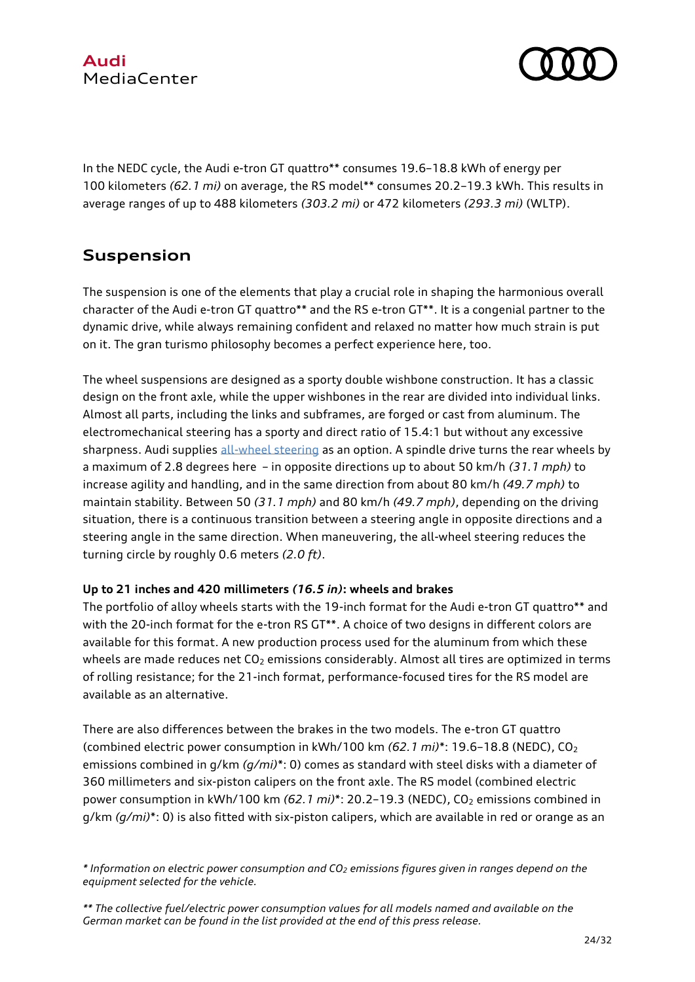

In the NEDC cycle, the Audi e-tron GT quattro\*\* consumes 19.6–18.8 kWh of energy per 100 kilometers *(62.1 mi)* on average, the RS model\*\* consumes 20.2–19.3 kWh. This results in average ranges of up to 488 kilometers *(303.2 mi)* or 472 kilometers *(293.3 mi)* (WLTP).

# **Suspension**

The suspension is one of the elements that play a crucial role in shaping the harmonious overall character of the Audi e-tron GT quattro\*\* and the RS e-tron GT\*\*. It is a congenial partner to the dynamic drive, while always remaining confident and relaxed no matter how much strain is put on it. The gran turismo philosophy becomes a perfect experience here, too.

The wheel suspensions are designed as a sporty double wishbone construction. It has a classic design on the front axle, while the upper wishbones in the rear are divided into individual links. Almost all parts, including the links and subframes, are forged or cast from aluminum. The electromechanical steering has a sporty and direct ratio of 15.4:1 but without any excessive sharpness. Audi supplies [all-wheel steering](https://www.audi-mediacenter.com/en/technology-lexicon-7180/chassis-7185#allradlenkung-dynamik-allradlenkung) as an option. A spindle drive turns the rear wheels by a maximum of 2.8 degrees here – in opposite directions up to about 50 km/h *(31.1 mph)* to increase agility and handling, and in the same direction from about 80 km/h *(49.7 mph)* to maintain stability. Between 50 *(31.1 mph)* and 80 km/h *(49.7 mph)*, depending on the driving situation, there is a continuous transition between a steering angle in opposite directions and a steering angle in the same direction. When maneuvering, the all-wheel steering reduces the turning circle by roughly 0.6 meters *(2.0 ft)*.

## **Up to 21 inches and 420 millimeters** *(16.5 in)***: wheels and brakes**

The portfolio of alloy wheels starts with the 19-inch format for the Audi e-tron GT quattro\*\* and with the 20-inch format for the e-tron RS GT\*\*. A choice of two designs in different colors are available for this format. A new production process used for the aluminum from which these wheels are made reduces net CO<sub>2</sub> emissions considerably. Almost all tires are optimized in terms of rolling resistance; for the 21-inch format, performance-focused tires for the RS model are available as an alternative.

There are also differences between the brakes in the two models. The e-tron GT quattro (combined electric power consumption in kWh/100 km *(62.1 mi)*\*: 19.6–18.8 (NEDC), CO<sup>2</sup> emissions combined in g/km *(g/mi)*\*: 0) comes as standard with steel disks with a diameter of 360 millimeters and six-piston calipers on the front axle. The RS model (combined electric power consumption in kWh/100 km (62.1 mi)<sup>\*</sup>: 20.2-19.3 (NEDC), CO<sub>2</sub> emissions combined in g/km *(g/mi)*\*: 0) is also fitted with six-piston calipers, which are available in red or orange as an

*<sup>\*</sup> Information on electric power consumption and CO<sup>2</sup> emissions figures given in ranges depend on the equipment selected for the vehicle.*

*<sup>\*\*</sup> The collective fuel/electric power consumption values for all models named and available on the German market can be found in the list provided at the end of this press release.*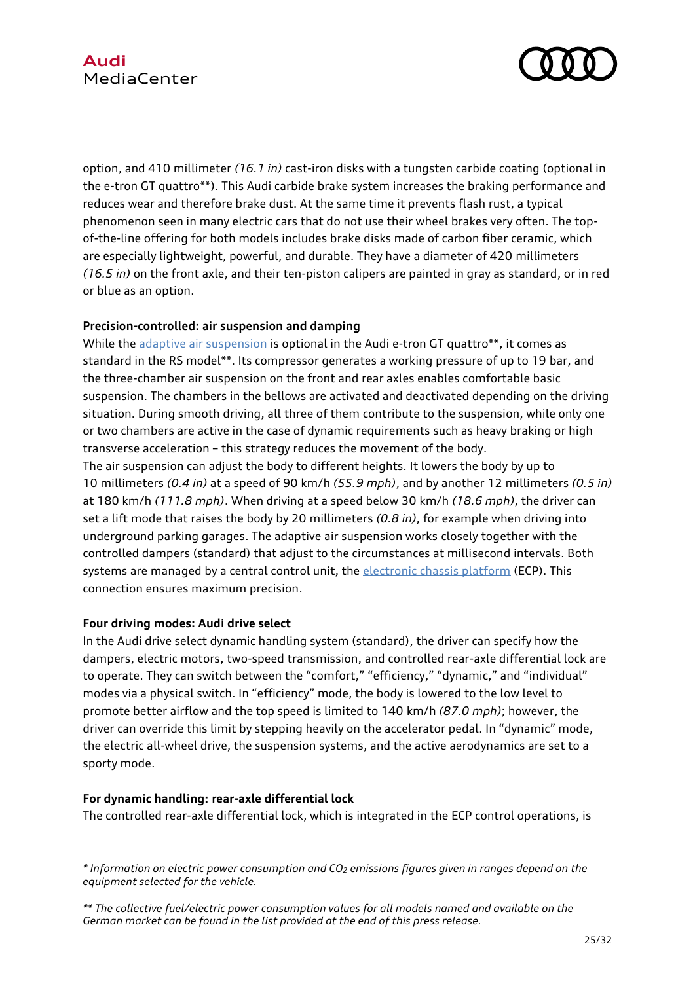# **Audi** MediaCenter



option, and 410 millimeter *(16.1 in)* cast-iron disks with a tungsten carbide coating (optional in the e-tron GT quattro\*\*). This Audi carbide brake system increases the braking performance and reduces wear and therefore brake dust. At the same time it prevents flash rust, a typical phenomenon seen in many electric cars that do not use their wheel brakes very often. The topof-the-line offering for both models includes brake disks made of carbon fiber ceramic, which are especially lightweight, powerful, and durable. They have a diameter of 420 millimeters *(16.5 in)* on the front axle, and their ten-piston calipers are painted in gray as standard, or in red or blue as an option.

### **Precision-controlled: air suspension and damping**

While the [adaptive air suspension](https://www.audi-mediacenter.com/en/technology-lexicon-7180/chassis-7185#luftfederung-adaptive-air-suspension) is optional in the Audi e-tron GT quattro\*\*, it comes as standard in the RS model\*\*. Its compressor generates a working pressure of up to 19 bar, and the three-chamber air suspension on the front and rear axles enables comfortable basic suspension. The chambers in the bellows are activated and deactivated depending on the driving situation. During smooth driving, all three of them contribute to the suspension, while only one or two chambers are active in the case of dynamic requirements such as heavy braking or high transverse acceleration – this strategy reduces the movement of the body.

The air suspension can adjust the body to different heights. It lowers the body by up to 10 millimeters *(0.4 in)* at a speed of 90 km/h *(55.9 mph)*, and by another 12 millimeters *(0.5 in)* at 180 km/h *(111.8 mph)*. When driving at a speed below 30 km/h *(18.6 mph)*, the driver can set a lift mode that raises the body by 20 millimeters *(0.8 in)*, for example when driving into underground parking garages. The adaptive air suspension works closely together with the controlled dampers (standard) that adjust to the circumstances at millisecond intervals. Both systems are managed by a central control unit, the [electronic chassis platform](https://www.audi-mediacenter.com/en/technology-lexicon-7180/chassis-7185#elektronische-fahrwerkplattform) (ECP). This connection ensures maximum precision.

### **Four driving modes: Audi drive select**

In the Audi drive select dynamic handling system (standard), the driver can specify how the dampers, electric motors, two-speed transmission, and controlled rear-axle differential lock are to operate. They can switch between the "comfort," "efficiency," "dynamic," and "individual" modes via a physical switch. In "efficiency" mode, the body is lowered to the low level to promote better airflow and the top speed is limited to 140 km/h *(87.0 mph)*; however, the driver can override this limit by stepping heavily on the accelerator pedal. In "dynamic" mode, the electric all-wheel drive, the suspension systems, and the active aerodynamics are set to a sporty mode.

### **For dynamic handling: rear-axle differential lock**

The controlled rear-axle differential lock, which is integrated in the ECP control operations, is

*<sup>\*</sup> Information on electric power consumption and CO<sup>2</sup> emissions figures given in ranges depend on the equipment selected for the vehicle.*

*<sup>\*\*</sup> The collective fuel/electric power consumption values for all models named and available on the German market can be found in the list provided at the end of this press release.*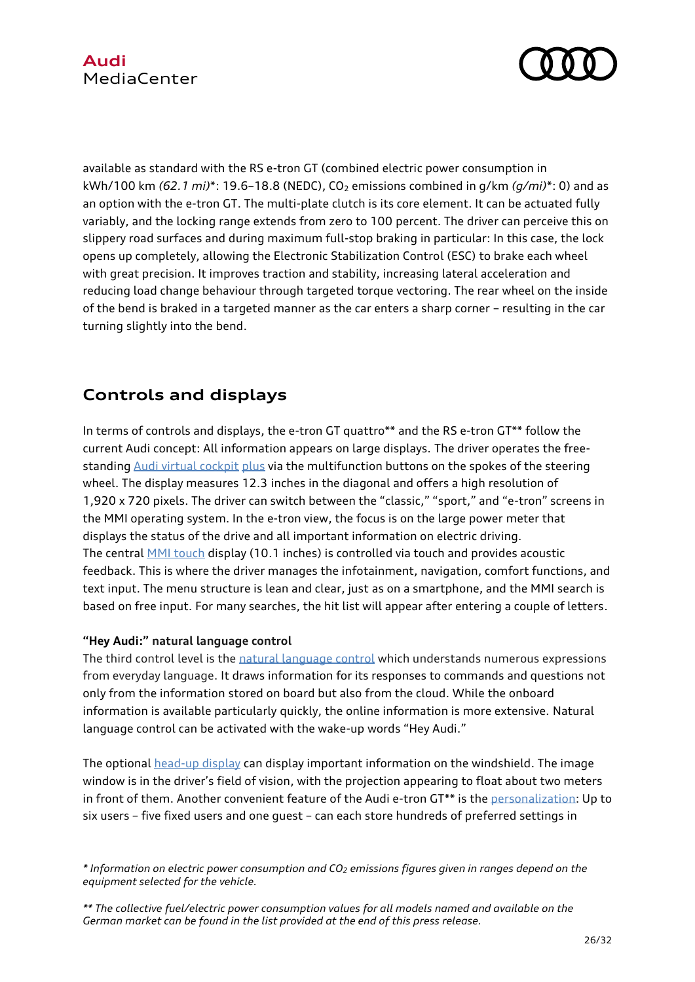# **Audi** MediaCenter



available as standard with the RS e-tron GT (combined electric power consumption in kWh/100 km (62.1 *mi*)\*: 19.6-18.8 (NEDC), CO<sub>2</sub> emissions combined in q/km (q/mi)\*: 0) and as an option with the e-tron GT. The multi-plate clutch is its core element. It can be actuated fully variably, and the locking range extends from zero to 100 percent. The driver can perceive this on slippery road surfaces and during maximum full-stop braking in particular: In this case, the lock opens up completely, allowing the Electronic Stabilization Control (ESC) to brake each wheel with great precision. It improves traction and stability, increasing lateral acceleration and reducing load change behaviour through targeted torque vectoring. The rear wheel on the inside of the bend is braked in a targeted manner as the car enters a sharp corner – resulting in the car turning slightly into the bend.

# **Controls and displays**

In terms of controls and displays, the e-tron GT quattro\*\* and the RS e-tron GT\*\* follow the current Audi concept: All information appears on large displays. The driver operates the freestandin[g Audi virtual cockpit](https://www.audi-mediacenter.com/en/technology-lexicon-7180/user-operation-and-displays-7182#audi-virtual-cockpit) plus via the multifunction buttons on the spokes of the steering wheel. The display measures 12.3 inches in the diagonal and offers a high resolution of 1,920 x 720 pixels. The driver can switch between the "classic," "sport," and "e-tron" screens in the MMI operating system. In the e-tron view, the focus is on the large power meter that displays the status of the drive and all important information on electric driving. The central [MMI touch](https://www.audi-mediacenter.com/en/technology-lexicon-7180/user-operation-and-displays-7182#mmi-touch) display (10.1 inches) is controlled via touch and provides acoustic feedback. This is where the driver manages the infotainment, navigation, comfort functions, and text input. The menu structure is lean and clear, just as on a smartphone, and the MMI search is based on free input. For many searches, the hit list will appear after entering a couple of letters.

## **"Hey Audi:" natural language control**

The third control level is the [natural language control](https://www.audi-mediacenter.com/en/technology-lexicon-7180/user-operation-and-displays-7182#natuerlich-sprachliche-steuerung) which understands numerous expressions from everyday language. It draws information for its responses to commands and questions not only from the information stored on board but also from the cloud. While the onboard information is available particularly quickly, the online information is more extensive. Natural language control can be activated with the wake-up words "Hey Audi."

The optional [head-up display](https://www.audi-mediacenter.com/en/technology-lexicon-7180/user-operation-and-displays-7182#head-up-display) can display important information on the windshield. The image window is in the driver's field of vision, with the projection appearing to float about two meters in front of them. Another convenient feature of the Audi e-tron GT\*\* is th[e personalization:](https://www.audi-mediacenter.com/en/technology-lexicon-7180/infotainment-7183#personalisierung) Up to six users – five fixed users and one guest – can each store hundreds of preferred settings in

*<sup>\*</sup> Information on electric power consumption and CO<sup>2</sup> emissions figures given in ranges depend on the equipment selected for the vehicle.*

*<sup>\*\*</sup> The collective fuel/electric power consumption values for all models named and available on the German market can be found in the list provided at the end of this press release.*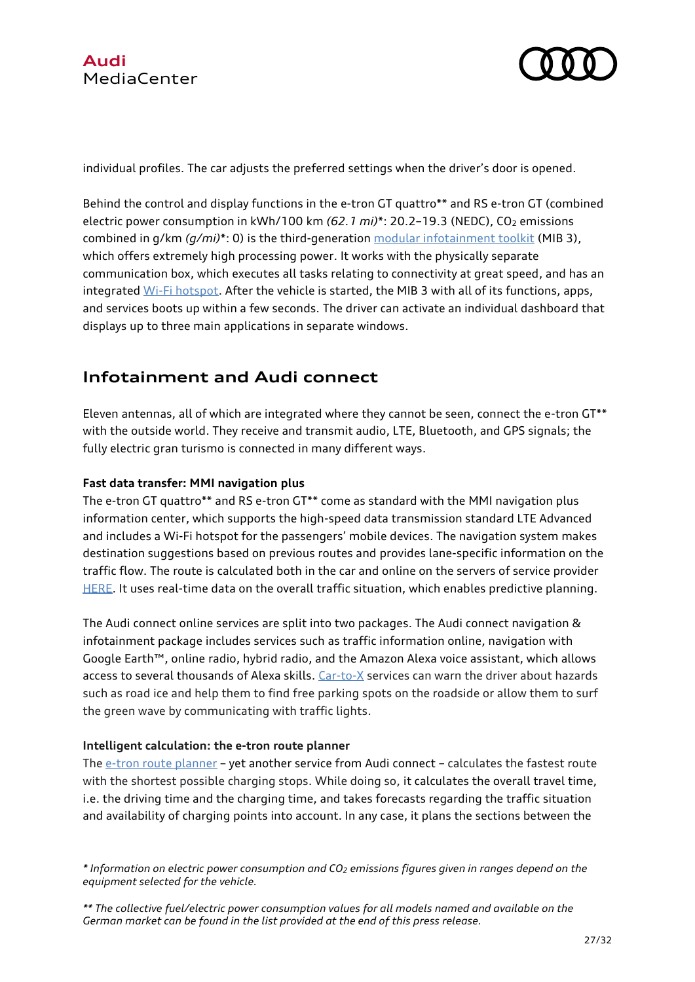



individual profiles. The car adjusts the preferred settings when the driver's door is opened.

Behind the control and display functions in the e-tron GT quattro\*\* and RS e-tron GT (combined electric power consumption in kWh/100 km (62.1 mi)\*: 20.2-19.3 (NEDC), CO<sub>2</sub> emissions combined in g/km *(g/mi)*\*: 0) is the third-generation [modular infotainment toolkit](https://www.audi-mediacenter.com/en/technology-lexicon-7180/infotainment-7183#modularer-infotainmentbaukasten) (MIB 3), which offers extremely high processing power. It works with the physically separate communication box, which executes all tasks relating to connectivity at great speed, and has an integrated [Wi-Fi hotspot.](https://www.audi-mediacenter.com/en/technology-lexicon-7180/infotainment-7183#wlan-hotspot) After the vehicle is started, the MIB 3 with all of its functions, apps, and services boots up within a few seconds. The driver can activate an individual dashboard that displays up to three main applications in separate windows.

# **Infotainment and Audi connect**

Eleven antennas, all of which are integrated where they cannot be seen, connect the e-tron GT\*\* with the outside world. They receive and transmit audio, LTE, Bluetooth, and GPS signals; the fully electric gran turismo is connected in many different ways.

### **Fast data transfer: MMI navigation plus**

The e-tron GT quattro\*\* and RS e-tron GT\*\* come as standard with the MMI navigation plus information center, which supports the high-speed data transmission standard LTE Advanced and includes a Wi-Fi hotspot for the passengers' mobile devices. The navigation system makes destination suggestions based on previous routes and provides lane-specific information on the traffic flow. The route is calculated both in the car and online on the servers of service provider [HERE.](https://www.audi-mediacenter.com/en/technology-lexicon-7180/infotainment-7183#here) It uses real-time data on the overall traffic situation, which enables predictive planning.

The Audi connect online services are split into two packages. The Audi connect navigation & infotainment package includes services such as traffic information online, navigation with Google Earth™, online radio, hybrid radio, and the Amazon Alexa voice assistant, which allows access to several thousands of Alexa skills. [Car-to-X](https://www.audi-mediacenter.com/en/technology-lexicon-7180/infotainment-7183#car-to-x) services can warn the driver about hazards such as road ice and help them to find free parking spots on the roadside or allow them to surf the green wave by communicating with traffic lights.

### **Intelligent calculation: the e-tron route planner**

Th[e e-tron route planner](https://www.audi-mediacenter.com/en/technology-lexicon-7180/infotainment-7183#e-tron-routenplaner) – yet another service from Audi connect – calculates the fastest route with the shortest possible charging stops. While doing so, it calculates the overall travel time, i.e. the driving time and the charging time, and takes forecasts regarding the traffic situation and availability of charging points into account. In any case, it plans the sections between the

*<sup>\*</sup> Information on electric power consumption and CO<sup>2</sup> emissions figures given in ranges depend on the equipment selected for the vehicle.*

*<sup>\*\*</sup> The collective fuel/electric power consumption values for all models named and available on the German market can be found in the list provided at the end of this press release.*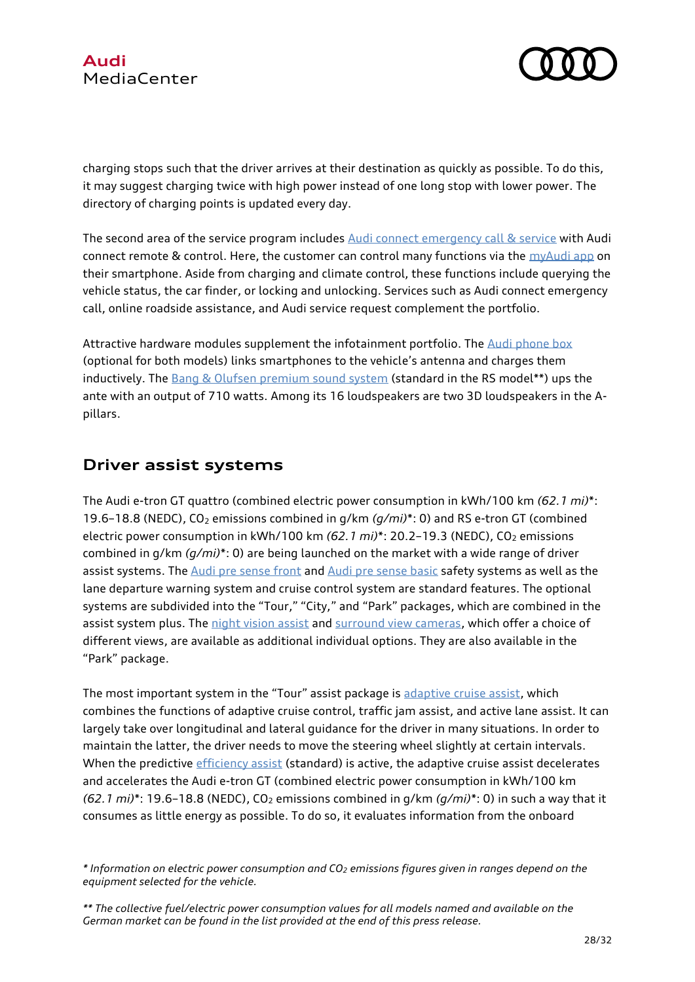



charging stops such that the driver arrives at their destination as quickly as possible. To do this, it may suggest charging twice with high power instead of one long stop with lower power. The directory of charging points is updated every day.

The second area of the service program includes [Audi connect emergency](https://www.audi-mediacenter.com/en/technology-lexicon-7180/infotainment-7183#audi-connect-notruf-und-service) call & service with Audi connect remote & control. Here, the customer can control many functions via the  $myAudi$  app on their smartphone. Aside from charging and climate control, these functions include querying the vehicle status, the car finder, or locking and unlocking. Services such as Audi connect emergency call, online roadside assistance, and Audi service request complement the portfolio.

Attractive hardware modules supplement the infotainment portfolio. The [Audi phone box](https://www.audi-mediacenter.com/en/technology-lexicon-7180/infotainment-7183#audi-phone-box) (optional for both models) links smartphones to the vehicle's antenna and charges them inductively. The [Bang & Olufsen premium sound system](https://www.audi-mediacenter.com/en/technology-lexicon-7180/infotainment-7183#bang-und-olufsen-sound-system-mit-3d-klang) (standard in the RS model\*\*) ups the ante with an output of 710 watts. Among its 16 loudspeakers are two 3D loudspeakers in the Apillars.

# **Driver assist systems**

The Audi e-tron GT quattro (combined electric power consumption in kWh/100 km *(62.1 mi)*\*: 19.6–18.8 (NEDC), CO<sup>2</sup> emissions combined in g/km *(g/mi)*\*: 0) and RS e-tron GT (combined electric power consumption in kWh/100 km (62.1 *mi*)\*: 20.2-19.3 (NEDC), CO<sub>2</sub> emissions combined in g/km *(g/mi)*\*: 0) are being launched on the market with a wide range of driver assist systems. Th[e Audi pre sense front](https://www.audi-mediacenter.com/en/technology-lexicon-7180/driver-assistance-systems-7184#audi-pre-sense-front-audi-pre-sense-city) an[d Audi pre sense basic](https://www.audi-mediacenter.com/en/technology-lexicon-7180/driver-assistance-systems-7184#audi-pre-sense-basic) safety systems as well as the lane departure warning system and cruise control system are standard features. The optional systems are subdivided into the "Tour," "City," and "Park" packages, which are combined in the assist system plus. The [night vision assist](https://www.audi-mediacenter.com/en/technology-lexicon-7180/driver-assistance-systems-7184#nachtsichtassistent) and [surround view cameras,](https://www.audi-mediacenter.com/en/technology-lexicon-7180/driver-assistance-systems-7184#umgebungskameras) which offer a choice of different views, are available as additional individual options. They are also available in the "Park" package.

The most important system in the "Tour" assist package is [adaptive cruise assist,](https://www.audi-mediacenter.com/en/technology-lexicon-7180/driver-assistance-systems-7184#adaptiver-fahrassistent) which combines the functions of adaptive cruise control, traffic jam assist, and active lane assist. It can largely take over longitudinal and lateral guidance for the driver in many situations. In order to maintain the latter, the driver needs to move the steering wheel slightly at certain intervals. When the predictive [efficiency assist](https://www.audi-mediacenter.com/en/technology-lexicon-7180/driver-assistance-systems-7184#praediktiver-effizienzassistent) (standard) is active, the adaptive cruise assist decelerates and accelerates the Audi e-tron GT (combined electric power consumption in kWh/100 km  $(62.1 \text{ mi})^*$ : 19.6–18.8 (NEDC), CO<sub>2</sub> emissions combined in  $q/km (q/min)^*$ : 0) in such a way that it consumes as little energy as possible. To do so, it evaluates information from the onboard

*<sup>\*</sup> Information on electric power consumption and CO<sup>2</sup> emissions figures given in ranges depend on the equipment selected for the vehicle.*

*<sup>\*\*</sup> The collective fuel/electric power consumption values for all models named and available on the German market can be found in the list provided at the end of this press release.*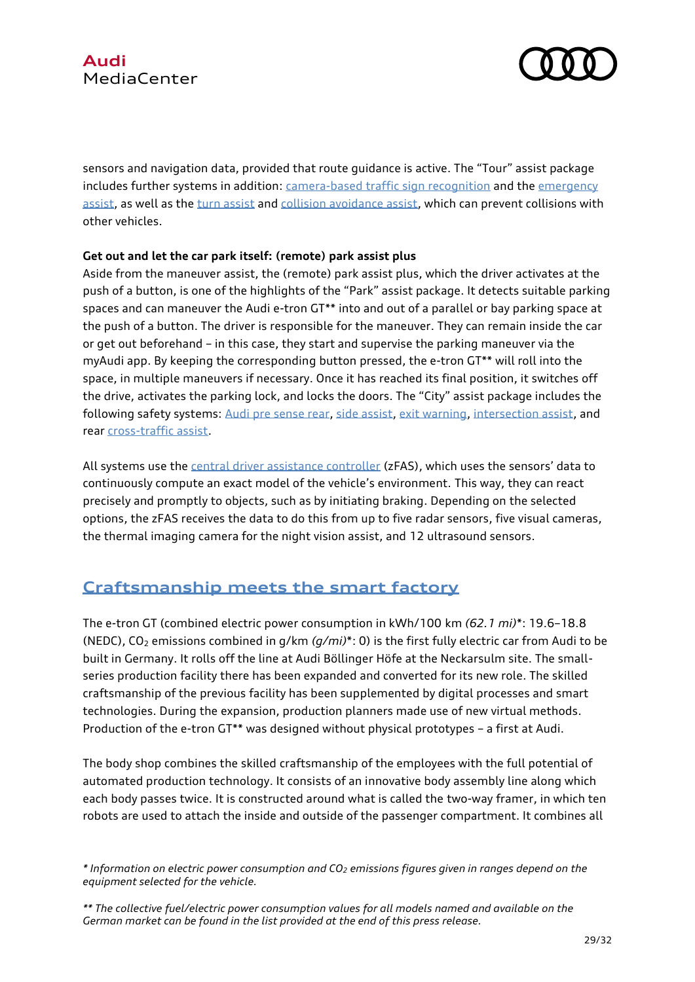

sensors and navigation data, provided that route guidance is active. The "Tour" assist package includes further systems in addition: [camera-based traffic sign recognition](https://www.audi-mediacenter.com/en/technology-lexicon-7180/driver-assistance-systems-7184#verkehrszeichenerkennung) and the emergency [assist,](https://www.audi-mediacenter.com/en/technology-lexicon-7180/driver-assistance-systems-7184#notfallassistent) as well as the [turn assist](https://www.audi-mediacenter.com/en/technology-lexicon-7180/driver-assistance-systems-7184#abbiegeassistent) an[d collision avoidance assist,](https://www.audi-mediacenter.com/en/technology-lexicon-7180/driver-assistance-systems-7184#ausweichassistent) which can prevent collisions with other vehicles.

### **Get out and let the car park itself: (remote) park assist plus**

Aside from the maneuver assist, the (remote) park assist plus, which the driver activates at the push of a button, is one of the highlights of the "Park" assist package. It detects suitable parking spaces and can maneuver the Audi e-tron GT\*\* into and out of a parallel or bay parking space at the push of a button. The driver is responsible for the maneuver. They can remain inside the car or get out beforehand – in this case, they start and supervise the parking maneuver via the myAudi app. By keeping the corresponding button pressed, the e-tron GT\*\* will roll into the space, in multiple maneuvers if necessary. Once it has reached its final position, it switches off the drive, activates the parking lock, and locks the doors. The "City" assist package includes the following safety systems: [Audi pre sense rear,](https://www.audi-mediacenter.com/en/technology-lexicon-7180/driver-assistance-systems-7184#audi-pre-sense-rear) [side assist,](https://www.audi-mediacenter.com/en/technology-lexicon-7180/driver-assistance-systems-7184#audi-side-assist) [exit warning,](https://www.audi-mediacenter.com/en/technology-lexicon-7180/driver-assistance-systems-7184#ausstiegswarnung) [intersection assist,](https://www.audi-mediacenter.com/en/technology-lexicon-7180/driver-assistance-systems-7184#kreuzungsassistent) and rear [cross-traffic assist.](https://www.audi-mediacenter.com/en/technology-lexicon-7180/driver-assistance-systems-7184#querverkehrassistent-hinten)

All systems use th[e central driver assistance controller](https://www.audi-mediacenter.com/en/technology-lexicon-7180/driver-assistance-systems-7184#zentrales-fahrerassistenzsteuergeraet) (zFAS), which uses the sensors' data to continuously compute an exact model of the vehicle's environment. This way, they can react precisely and promptly to objects, such as by initiating braking. Depending on the selected options, the zFAS receives the data to do this from up to five radar sensors, five visual cameras, the thermal imaging camera for the night vision assist, and 12 ultrasound sensors.

# **[Craftsmanship](https://www.audi-mediacenter.com/en/press-releases/audi-e-tron-gt-enters-series-productioncarbon-neutral-production-begins-at-the-boellinger-hoefe-13473) meets the smart factory**

The e-tron GT (combined electric power consumption in kWh/100 km *(62.1 mi)*\*: 19.6–18.8 (NEDC), CO<sup>2</sup> emissions combined in g/km *(g/mi)*\*: 0) is the first fully electric car from Audi to be built in Germany. It rolls off the line at Audi Böllinger Höfe at the Neckarsulm site. The smallseries production facility there has been expanded and converted for its new role. The skilled craftsmanship of the previous facility has been supplemented by digital processes and smart technologies. During the expansion, production planners made use of new virtual methods. Production of the e-tron GT\*\* was designed without physical prototypes – a first at Audi.

The body shop combines the skilled craftsmanship of the employees with the full potential of automated production technology. It consists of an innovative body assembly line along which each body passes twice. It is constructed around what is called the two-way framer, in which ten robots are used to attach the inside and outside of the passenger compartment. It combines all

*<sup>\*</sup> Information on electric power consumption and CO<sup>2</sup> emissions figures given in ranges depend on the equipment selected for the vehicle.*

*<sup>\*\*</sup> The collective fuel/electric power consumption values for all models named and available on the German market can be found in the list provided at the end of this press release.*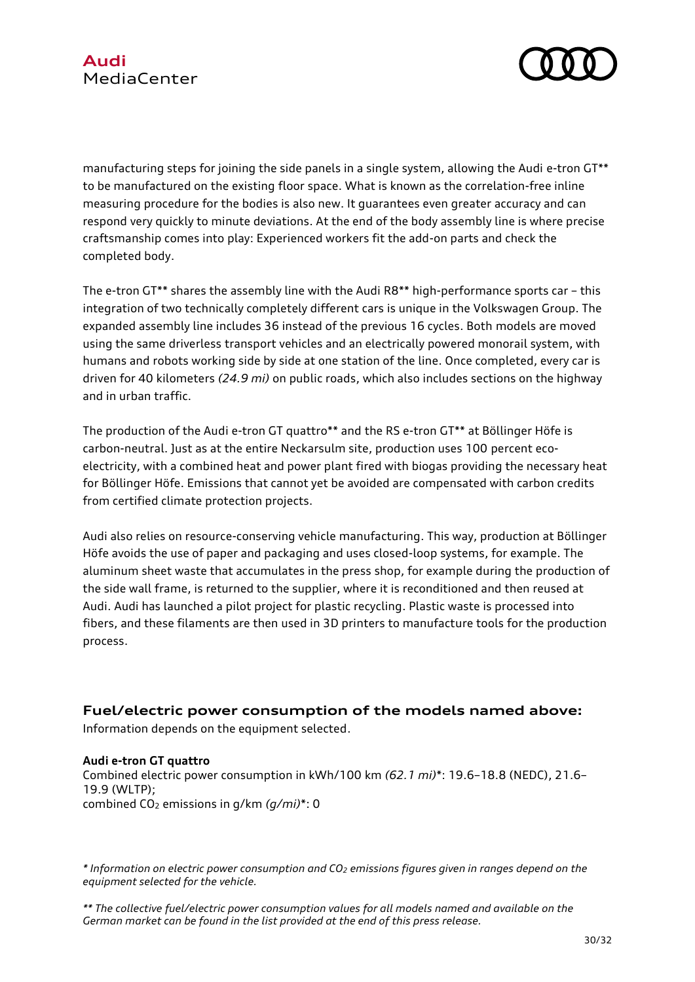

manufacturing steps for joining the side panels in a single system, allowing the Audi e-tron GT\*\* to be manufactured on the existing floor space. What is known as the correlation-free inline measuring procedure for the bodies is also new. It guarantees even greater accuracy and can respond very quickly to minute deviations. At the end of the body assembly line is where precise craftsmanship comes into play: Experienced workers fit the add-on parts and check the completed body.

The e-tron GT\*\* shares the assembly line with the Audi R8\*\* high-performance sports car – this integration of two technically completely different cars is unique in the Volkswagen Group. The expanded assembly line includes 36 instead of the previous 16 cycles. Both models are moved using the same driverless transport vehicles and an electrically powered monorail system, with humans and robots working side by side at one station of the line. Once completed, every car is driven for 40 kilometers *(24.9 mi)* on public roads, which also includes sections on the highway and in urban traffic.

The production of the Audi e-tron GT quattro\*\* and the RS e-tron GT\*\* at Böllinger Höfe is carbon-neutral. Just as at the entire Neckarsulm site, production uses 100 percent ecoelectricity, with a combined heat and power plant fired with biogas providing the necessary heat for Böllinger Höfe. Emissions that cannot yet be avoided are compensated with carbon credits from certified climate protection projects.

Audi also relies on resource-conserving vehicle manufacturing. This way, production at Böllinger Höfe avoids the use of paper and packaging and uses closed-loop systems, for example. The aluminum sheet waste that accumulates in the press shop, for example during the production of the side wall frame, is returned to the supplier, where it is reconditioned and then reused at Audi. Audi has launched a pilot project for plastic recycling. Plastic waste is processed into fibers, and these filaments are then used in 3D printers to manufacture tools for the production process.

## **Fuel/electric power consumption of the models named above:**

Information depends on the equipment selected.

#### **Audi e-tron GT quattro**

Combined electric power consumption in kWh/100 km *(62.1 mi)*\*: 19.6–18.8 (NEDC), 21.6– 19.9 (WLTP); combined CO<sup>2</sup> emissions in g/km *(g/mi)*\*: 0

*\* Information on electric power consumption and CO<sup>2</sup> emissions figures given in ranges depend on the equipment selected for the vehicle.*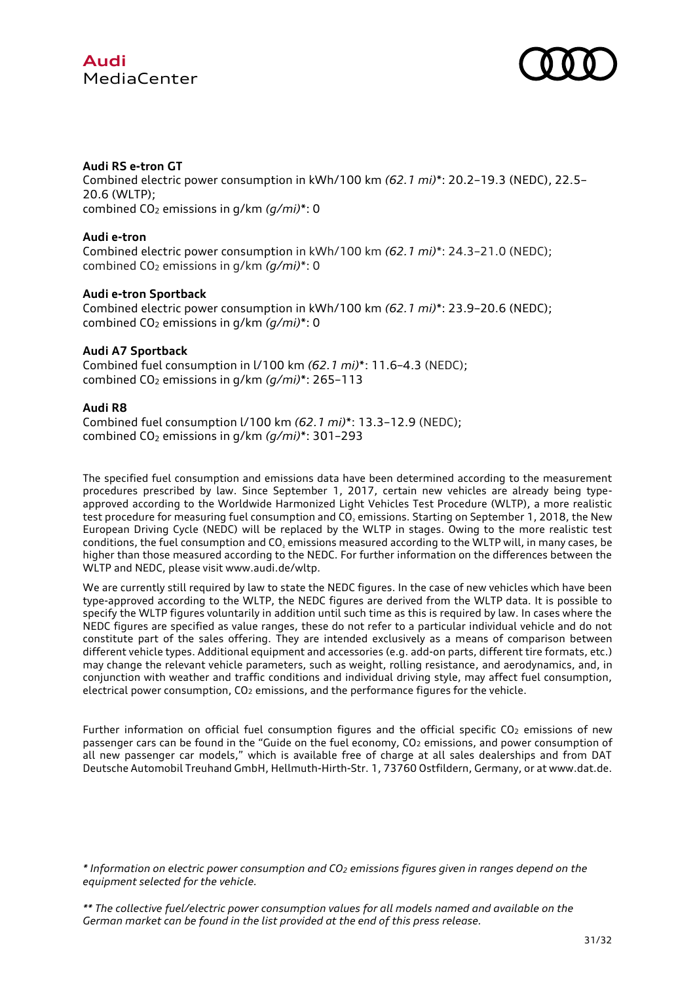



#### **Audi RS e-tron GT**

Combined electric power consumption in kWh/100 km *(62.1 mi)*\*: 20.2–19.3 (NEDC), 22.5– 20.6 (WLTP); combined CO<sub>2</sub> emissions in q/km (q/mi)\*: 0

#### **Audi e-tron**

Combined electric power consumption in kWh/100 km *(62.1 mi)*\*: 24.3–21.0 (NEDC); combined CO<sup>2</sup> emissions in g/km *(g/mi)*\*: 0

#### **Audi e-tron Sportback**

Combined electric power consumption in kWh/100 km *(62.1 mi)*\*: 23.9–20.6 (NEDC); combined CO<sub>2</sub> emissions in g/km  $(q/ml)^*$ : 0

#### **Audi A7 Sportback**

Combined fuel consumption in l/100 km *(62.1 mi)*\*: 11.6–4.3 (NEDC); combined CO<sup>2</sup> emissions in g/km *(g/mi)*\*: 265–113

#### **Audi R8**

Combined fuel consumption l/100 km *(62.1 mi)*\*: 13.3–12.9 (NEDC); combined CO<sup>2</sup> emissions in g/km *(g/mi)*\*: 301–293

The specified fuel consumption and emissions data have been determined according to the measurement procedures prescribed by law. Since September 1, 2017, certain new vehicles are already being typeapproved according to the Worldwide Harmonized Light Vehicles Test Procedure (WLTP), a more realistic test procedure for measuring fuel consumption and CO<sub>2</sub> emissions. Starting on September 1, 2018, the New European Driving Cycle (NEDC) will be replaced by the WLTP in stages. Owing to the more realistic test conditions, the fuel consumption and CO<sup>₂</sup> emissions measured according to the WLTP will, in many cases, be higher than those measured according to the NEDC. For further information on the differences between the WLTP and NEDC, please visit www.audi.de/wltp.

We are currently still required by law to state the NEDC figures. In the case of new vehicles which have been type-approved according to the WLTP, the NEDC figures are derived from the WLTP data. It is possible to specify the WLTP figures voluntarily in addition until such time as this is required by law. In cases where the NEDC figures are specified as value ranges, these do not refer to a particular individual vehicle and do not constitute part of the sales offering. They are intended exclusively as a means of comparison between different vehicle types. Additional equipment and accessories (e.g. add-on parts, different tire formats, etc.) may change the relevant vehicle parameters, such as weight, rolling resistance, and aerodynamics, and, in conjunction with weather and traffic conditions and individual driving style, may affect fuel consumption, electrical power consumption,  $CO<sub>2</sub>$  emissions, and the performance figures for the vehicle.

Further information on official fuel consumption figures and the official specific CO<sub>2</sub> emissions of new passenger cars can be found in the "Guide on the fuel economy, CO<sup>2</sup> emissions, and power consumption of all new passenger car models," which is available free of charge at all sales dealerships and from DAT Deutsche Automobil Treuhand GmbH, Hellmuth-Hirth-Str. 1, 73760 Ostfildern, Germany, or at www.dat.de.

*<sup>\*</sup> Information on electric power consumption and CO<sup>2</sup> emissions figures given in ranges depend on the equipment selected for the vehicle.*

*<sup>\*\*</sup> The collective fuel/electric power consumption values for all models named and available on the German market can be found in the list provided at the end of this press release.*